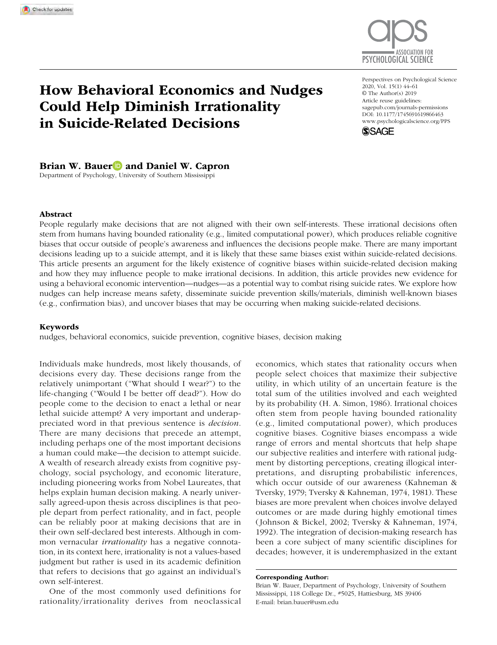

# How Behavioral Economics and Nudges Could Help Diminish Irrationality in Suicide-Related Decisions

DOI: 10.1177/1745691619866463 Perspectives on Psychological Science 2020, Vol. 15(1) 44–61 © The Author(s) 2019 Article reuse guidelines: [sagepub.com/journals-permissions](https://sagepub.com/journals-permissions) [www.psychologicalscience.org/PPS](http://www.psychologicalscience.org/pps)



Brian W. Bauer **D** and Daniel W. Capron

Department of Psychology, University of Southern Mississippi

#### Abstract

People regularly make decisions that are not aligned with their own self-interests. These irrational decisions often stem from humans having bounded rationality (e.g., limited computational power), which produces reliable cognitive biases that occur outside of people's awareness and influences the decisions people make. There are many important decisions leading up to a suicide attempt, and it is likely that these same biases exist within suicide-related decisions. This article presents an argument for the likely existence of cognitive biases within suicide-related decision making and how they may influence people to make irrational decisions. In addition, this article provides new evidence for using a behavioral economic intervention—nudges—as a potential way to combat rising suicide rates. We explore how nudges can help increase means safety, disseminate suicide prevention skills/materials, diminish well-known biases (e.g., confirmation bias), and uncover biases that may be occurring when making suicide-related decisions.

#### Keywords

nudges, behavioral economics, suicide prevention, cognitive biases, decision making

Individuals make hundreds, most likely thousands, of decisions every day. These decisions range from the relatively unimportant ("What should I wear?") to the life-changing ("Would I be better off dead?"). How do people come to the decision to enact a lethal or near lethal suicide attempt? A very important and underappreciated word in that previous sentence is *decision*. There are many decisions that precede an attempt, including perhaps one of the most important decisions a human could make—the decision to attempt suicide. A wealth of research already exists from cognitive psychology, social psychology, and economic literature, including pioneering works from Nobel Laureates, that helps explain human decision making. A nearly universally agreed-upon thesis across disciplines is that people depart from perfect rationality, and in fact, people can be reliably poor at making decisions that are in their own self-declared best interests. Although in common vernacular *irrationality* has a negative connotation, in its context here, irrationality is not a values-based judgment but rather is used in its academic definition that refers to decisions that go against an individual's own self-interest.

One of the most commonly used definitions for rationality/irrationality derives from neoclassical economics, which states that rationality occurs when people select choices that maximize their subjective utility, in which utility of an uncertain feature is the total sum of the utilities involved and each weighted by its probability (H. A. Simon, 1986). Irrational choices often stem from people having bounded rationality (e.g., limited computational power), which produces cognitive biases. Cognitive biases encompass a wide range of errors and mental shortcuts that help shape our subjective realities and interfere with rational judgment by distorting perceptions, creating illogical interpretations, and disrupting probabilistic inferences, which occur outside of our awareness (Kahneman & Tversky, 1979; Tversky & Kahneman, 1974, 1981). These biases are more prevalent when choices involve delayed outcomes or are made during highly emotional times (Johnson & Bickel, 2002; Tversky & Kahneman, 1974, 1992). The integration of decision-making research has been a core subject of many scientific disciplines for decades; however, it is underemphasized in the extant

#### Corresponding Author:

Brian W. Bauer, Department of Psychology, University of Southern Mississippi, 118 College Dr., #5025, Hattiesburg, MS 39406 E-mail: [brian.bauer@usm.edu](mailto:brian.bauer@usm.edu)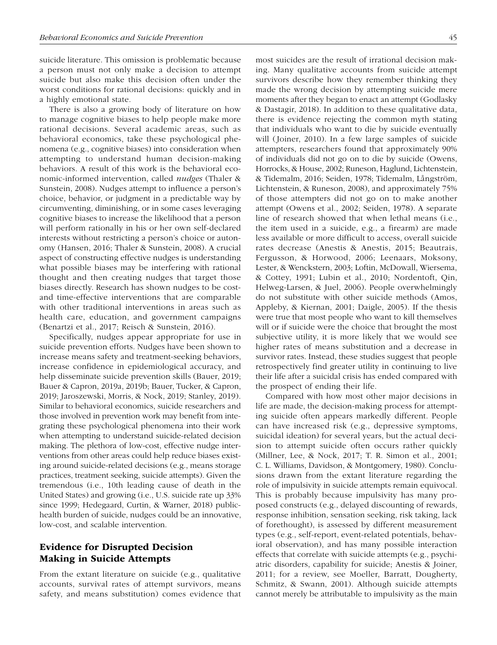suicide literature. This omission is problematic because a person must not only make a decision to attempt suicide but also make this decision often under the worst conditions for rational decisions: quickly and in a highly emotional state.

There is also a growing body of literature on how to manage cognitive biases to help people make more rational decisions. Several academic areas, such as behavioral economics, take these psychological phenomena (e.g., cognitive biases) into consideration when attempting to understand human decision-making behaviors. A result of this work is the behavioral economic-informed intervention, called *nudges* (Thaler & Sunstein, 2008). Nudges attempt to influence a person's choice, behavior, or judgment in a predictable way by circumventing, diminishing, or in some cases leveraging cognitive biases to increase the likelihood that a person will perform rationally in his or her own self-declared interests without restricting a person's choice or autonomy (Hansen, 2016; Thaler & Sunstein, 2008). A crucial aspect of constructing effective nudges is understanding what possible biases may be interfering with rational thought and then creating nudges that target those biases directly. Research has shown nudges to be costand time-effective interventions that are comparable with other traditional interventions in areas such as health care, education, and government campaigns (Benartzi et al., 2017; Reisch & Sunstein, 2016).

Specifically, nudges appear appropriate for use in suicide prevention efforts. Nudges have been shown to increase means safety and treatment-seeking behaviors, increase confidence in epidemiological accuracy, and help disseminate suicide prevention skills (Bauer, 2019; Bauer & Capron, 2019a, 2019b; Bauer, Tucker, & Capron, 2019; Jaroszewski, Morris, & Nock, 2019; Stanley, 2019). Similar to behavioral economics, suicide researchers and those involved in prevention work may benefit from integrating these psychological phenomena into their work when attempting to understand suicide-related decision making. The plethora of low-cost, effective nudge interventions from other areas could help reduce biases existing around suicide-related decisions (e.g., means storage practices, treatment seeking, suicide attempts). Given the tremendous (i.e., 10th leading cause of death in the United States) and growing (i.e., U.S. suicide rate up 33% since 1999; Hedegaard, Curtin, & Warner, 2018) publichealth burden of suicide, nudges could be an innovative, low-cost, and scalable intervention.

# Evidence for Disrupted Decision Making in Suicide Attempts

From the extant literature on suicide (e.g., qualitative accounts, survival rates of attempt survivors, means safety, and means substitution) comes evidence that

most suicides are the result of irrational decision making. Many qualitative accounts from suicide attempt survivors describe how they remember thinking they made the wrong decision by attempting suicide mere moments after they began to enact an attempt (Godlasky & Dastagir, 2018). In addition to these qualitative data, there is evidence rejecting the common myth stating that individuals who want to die by suicide eventually will (Joiner, 2010). In a few large samples of suicide attempters, researchers found that approximately 90% of individuals did not go on to die by suicide (Owens, Horrocks, & House, 2002; Runeson, Haglund, Lichtenstein, & Tidemalm, 2016; Seiden, 1978; Tidemalm, Långström, Lichtenstein, & Runeson, 2008), and approximately 75% of those attempters did not go on to make another attempt (Owens et al., 2002; Seiden, 1978). A separate line of research showed that when lethal means (i.e., the item used in a suicide, e.g., a firearm) are made less available or more difficult to access, overall suicide rates decrease (Anestis & Anestis, 2015; Beautrais, Fergusson, & Horwood, 2006; Leenaars, Moksony, Lester, & Wenckstern, 2003; Loftin, McDowall, Wiersema, & Cottey, 1991; Lubin et al., 2010; Nordentoft, Qin, Helweg-Larsen, & Juel, 2006). People overwhelmingly do not substitute with other suicide methods (Amos, Appleby, & Kiernan, 2001; Daigle, 2005). If the thesis were true that most people who want to kill themselves will or if suicide were the choice that brought the most subjective utility, it is more likely that we would see higher rates of means substitution and a decrease in survivor rates. Instead, these studies suggest that people retrospectively find greater utility in continuing to live their life after a suicidal crisis has ended compared with the prospect of ending their life.

Compared with how most other major decisions in life are made, the decision-making process for attempting suicide often appears markedly different. People can have increased risk (e.g., depressive symptoms, suicidal ideation) for several years, but the actual decision to attempt suicide often occurs rather quickly (Millner, Lee, & Nock, 2017; T. R. Simon et al., 2001; C. L. Williams, Davidson, & Montgomery, 1980). Conclusions drawn from the extant literature regarding the role of impulsivity in suicide attempts remain equivocal. This is probably because impulsivity has many proposed constructs (e.g., delayed discounting of rewards, response inhibition, sensation seeking, risk taking, lack of forethought), is assessed by different measurement types (e.g., self-report, event-related potentials, behavioral observation), and has many possible interaction effects that correlate with suicide attempts (e.g., psychiatric disorders, capability for suicide; Anestis & Joiner, 2011; for a review, see Moeller, Barratt, Dougherty, Schmitz, & Swann, 2001). Although suicide attempts cannot merely be attributable to impulsivity as the main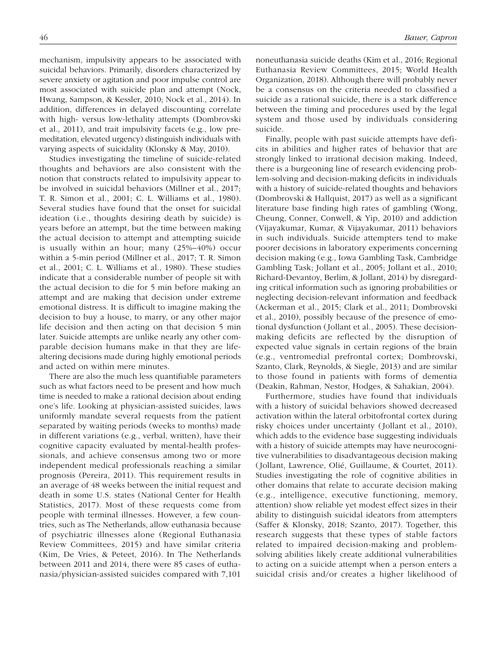mechanism, impulsivity appears to be associated with suicidal behaviors. Primarily, disorders characterized by severe anxiety or agitation and poor impulse control are most associated with suicide plan and attempt (Nock, Hwang, Sampson, & Kessler, 2010; Nock et al., 2014). In addition, differences in delayed discounting correlate with high- versus low-lethality attempts (Dombrovski et al., 2011), and trait impulsivity facets (e.g., low premeditation, elevated urgency) distinguish individuals with varying aspects of suicidality (Klonsky & May, 2010).

Studies investigating the timeline of suicide-related thoughts and behaviors are also consistent with the notion that constructs related to impulsivity appear to be involved in suicidal behaviors (Millner et al., 2017; T. R. Simon et al., 2001; C. L. Williams et al., 1980). Several studies have found that the onset for suicidal ideation (i.e., thoughts desiring death by suicide) is years before an attempt, but the time between making the actual decision to attempt and attempting suicide is usually within an hour; many (25%–40%) occur within a 5-min period (Millner et al., 2017; T. R. Simon et al., 2001; C. L. Williams et al., 1980). These studies indicate that a considerable number of people sit with the actual decision to die for 5 min before making an attempt and are making that decision under extreme emotional distress. It is difficult to imagine making the decision to buy a house, to marry, or any other major life decision and then acting on that decision 5 min later. Suicide attempts are unlike nearly any other comparable decision humans make in that they are lifealtering decisions made during highly emotional periods and acted on within mere minutes.

There are also the much less quantifiable parameters such as what factors need to be present and how much time is needed to make a rational decision about ending one's life. Looking at physician-assisted suicides, laws uniformly mandate several requests from the patient separated by waiting periods (weeks to months) made in different variations (e.g., verbal, written), have their cognitive capacity evaluated by mental-health professionals, and achieve consensus among two or more independent medical professionals reaching a similar prognosis (Pereira, 2011). This requirement results in an average of 48 weeks between the initial request and death in some U.S. states (National Center for Health Statistics, 2017). Most of these requests come from people with terminal illnesses. However, a few countries, such as The Netherlands, allow euthanasia because of psychiatric illnesses alone (Regional Euthanasia Review Committees, 2015) and have similar criteria (Kim, De Vries, & Peteet, 2016). In The Netherlands between 2011 and 2014, there were 85 cases of euthanasia/physician-assisted suicides compared with 7,101

noneuthanasia suicide deaths (Kim et al., 2016; Regional Euthanasia Review Committees, 2015; World Health Organization, 2018). Although there will probably never be a consensus on the criteria needed to classified a suicide as a rational suicide, there is a stark difference between the timing and procedures used by the legal system and those used by individuals considering suicide.

Finally, people with past suicide attempts have deficits in abilities and higher rates of behavior that are strongly linked to irrational decision making. Indeed, there is a burgeoning line of research evidencing problem-solving and decision-making deficits in individuals with a history of suicide-related thoughts and behaviors (Dombrovski & Hallquist, 2017) as well as a significant literature base finding high rates of gambling (Wong, Cheung, Conner, Conwell, & Yip, 2010) and addiction (Vijayakumar, Kumar, & Vijayakumar, 2011) behaviors in such individuals. Suicide attempters tend to make poorer decisions in laboratory experiments concerning decision making (e.g., Iowa Gambling Task, Cambridge Gambling Task; Jollant et al., 2005; Jollant et al., 2010; Richard-Devantoy, Berlim, & Jollant, 2014) by disregarding critical information such as ignoring probabilities or neglecting decision-relevant information and feedback (Ackerman et al., 2015; Clark et al., 2011; Dombrovski et al., 2010), possibly because of the presence of emotional dysfunction (Jollant et al., 2005). These decisionmaking deficits are reflected by the disruption of expected value signals in certain regions of the brain (e.g., ventromedial prefrontal cortex; Dombrovski, Szanto, Clark, Reynolds, & Siegle, 2013) and are similar to those found in patients with forms of dementia (Deakin, Rahman, Nestor, Hodges, & Sahakian, 2004).

Furthermore, studies have found that individuals with a history of suicidal behaviors showed decreased activation within the lateral orbitofrontal cortex during risky choices under uncertainty (Jollant et al., 2010), which adds to the evidence base suggesting individuals with a history of suicide attempts may have neurocognitive vulnerabilities to disadvantageous decision making (Jollant, Lawrence, Olié, Guillaume, & Courtet, 2011). Studies investigating the role of cognitive abilities in other domains that relate to accurate decision making (e.g., intelligence, executive functioning, memory, attention) show reliable yet modest effect sizes in their ability to distinguish suicidal ideators from attempters (Saffer & Klonsky, 2018; Szanto, 2017). Together, this research suggests that these types of stable factors related to impaired decision-making and problemsolving abilities likely create additional vulnerabilities to acting on a suicide attempt when a person enters a suicidal crisis and/or creates a higher likelihood of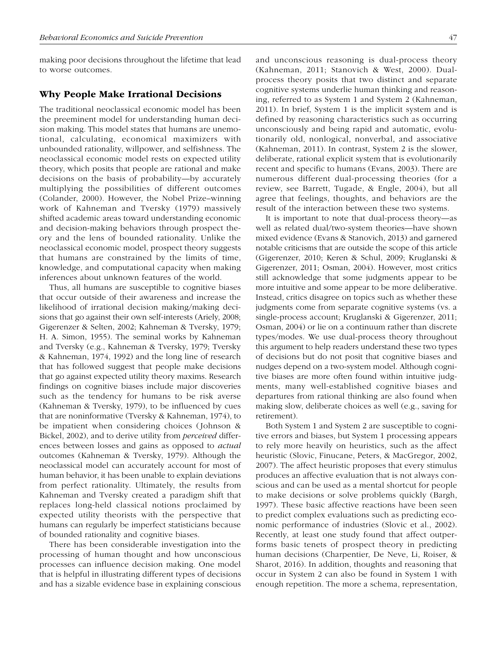making poor decisions throughout the lifetime that lead to worse outcomes.

#### Why People Make Irrational Decisions

The traditional neoclassical economic model has been the preeminent model for understanding human decision making. This model states that humans are unemotional, calculating, economical maximizers with unbounded rationality, willpower, and selfishness. The neoclassical economic model rests on expected utility theory, which posits that people are rational and make decisions on the basis of probability—by accurately multiplying the possibilities of different outcomes (Colander, 2000). However, the Nobel Prize–winning work of Kahneman and Tversky (1979) massively shifted academic areas toward understanding economic and decision-making behaviors through prospect theory and the lens of bounded rationality. Unlike the neoclassical economic model, prospect theory suggests that humans are constrained by the limits of time, knowledge, and computational capacity when making inferences about unknown features of the world.

Thus, all humans are susceptible to cognitive biases that occur outside of their awareness and increase the likelihood of irrational decision making/making decisions that go against their own self-interests (Ariely, 2008; Gigerenzer & Selten, 2002; Kahneman & Tversky, 1979; H. A. Simon, 1955). The seminal works by Kahneman and Tversky (e.g., Kahneman & Tversky, 1979; Tversky & Kahneman, 1974, 1992) and the long line of research that has followed suggest that people make decisions that go against expected utility theory maxims. Research findings on cognitive biases include major discoveries such as the tendency for humans to be risk averse (Kahneman & Tversky, 1979), to be influenced by cues that are noninformative (Tversky & Kahneman, 1974), to be impatient when considering choices (Johnson & Bickel, 2002), and to derive utility from *perceived* differences between losses and gains as opposed to *actual* outcomes (Kahneman & Tversky, 1979). Although the neoclassical model can accurately account for most of human behavior, it has been unable to explain deviations from perfect rationality. Ultimately, the results from Kahneman and Tversky created a paradigm shift that replaces long-held classical notions proclaimed by expected utility theorists with the perspective that humans can regularly be imperfect statisticians because of bounded rationality and cognitive biases.

There has been considerable investigation into the processing of human thought and how unconscious processes can influence decision making. One model that is helpful in illustrating different types of decisions and has a sizable evidence base in explaining conscious and unconscious reasoning is dual-process theory (Kahneman, 2011; Stanovich & West, 2000). Dualprocess theory posits that two distinct and separate cognitive systems underlie human thinking and reasoning, referred to as System 1 and System 2 (Kahneman, 2011). In brief, System 1 is the implicit system and is defined by reasoning characteristics such as occurring unconsciously and being rapid and automatic, evolutionarily old, nonlogical, nonverbal, and associative (Kahneman, 2011). In contrast, System 2 is the slower, deliberate, rational explicit system that is evolutionarily recent and specific to humans (Evans, 2003). There are numerous different dual-processing theories (for a review, see Barrett, Tugade, & Engle, 2004), but all agree that feelings, thoughts, and behaviors are the result of the interaction between these two systems.

It is important to note that dual-process theory—as well as related dual/two-system theories—have shown mixed evidence (Evans & Stanovich, 2013) and garnered notable criticisms that are outside the scope of this article (Gigerenzer, 2010; Keren & Schul, 2009; Kruglanski & Gigerenzer, 2011; Osman, 2004). However, most critics still acknowledge that some judgments appear to be more intuitive and some appear to be more deliberative. Instead, critics disagree on topics such as whether these judgments come from separate cognitive systems (vs. a single-process account; Kruglanski & Gigerenzer, 2011; Osman, 2004) or lie on a continuum rather than discrete types/modes. We use dual-process theory throughout this argument to help readers understand these two types of decisions but do not posit that cognitive biases and nudges depend on a two-system model. Although cognitive biases are more often found within intuitive judgments, many well-established cognitive biases and departures from rational thinking are also found when making slow, deliberate choices as well (e.g., saving for retirement).

Both System 1 and System 2 are susceptible to cognitive errors and biases, but System 1 processing appears to rely more heavily on heuristics, such as the affect heuristic (Slovic, Finucane, Peters, & MacGregor, 2002, 2007). The affect heuristic proposes that every stimulus produces an affective evaluation that is not always conscious and can be used as a mental shortcut for people to make decisions or solve problems quickly (Bargh, 1997). These basic affective reactions have been seen to predict complex evaluations such as predicting economic performance of industries (Slovic et al., 2002). Recently, at least one study found that affect outperforms basic tenets of prospect theory in predicting human decisions (Charpentier, De Neve, Li, Roiser, & Sharot, 2016). In addition, thoughts and reasoning that occur in System 2 can also be found in System 1 with enough repetition. The more a schema, representation,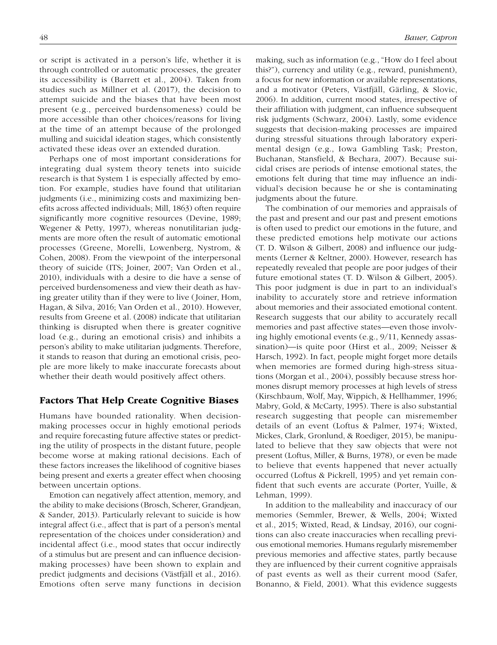or script is activated in a person's life, whether it is through controlled or automatic processes, the greater its accessibility is (Barrett et al., 2004). Taken from studies such as Millner et al. (2017), the decision to attempt suicide and the biases that have been most present (e.g., perceived burdensomeness) could be more accessible than other choices/reasons for living at the time of an attempt because of the prolonged mulling and suicidal ideation stages, which consistently activated these ideas over an extended duration.

Perhaps one of most important considerations for integrating dual system theory tenets into suicide research is that System 1 is especially affected by emotion. For example, studies have found that utilitarian judgments (i.e., minimizing costs and maximizing benefits across affected individuals; Mill, 1863) often require significantly more cognitive resources (Devine, 1989; Wegener & Petty, 1997), whereas nonutilitarian judgments are more often the result of automatic emotional processes (Greene, Morelli, Lowenberg, Nystrom, & Cohen, 2008). From the viewpoint of the interpersonal theory of suicide (ITS; Joiner, 2007; Van Orden et al., 2010), individuals with a desire to die have a sense of perceived burdensomeness and view their death as having greater utility than if they were to live (Joiner, Hom, Hagan, & Silva, 2016; Van Orden et al., 2010). However, results from Greene et al. (2008) indicate that utilitarian thinking is disrupted when there is greater cognitive load (e.g., during an emotional crisis) and inhibits a person's ability to make utilitarian judgments. Therefore, it stands to reason that during an emotional crisis, people are more likely to make inaccurate forecasts about whether their death would positively affect others.

## Factors That Help Create Cognitive Biases

Humans have bounded rationality. When decisionmaking processes occur in highly emotional periods and require forecasting future affective states or predicting the utility of prospects in the distant future, people become worse at making rational decisions. Each of these factors increases the likelihood of cognitive biases being present and exerts a greater effect when choosing between uncertain options.

Emotion can negatively affect attention, memory, and the ability to make decisions (Brosch, Scherer, Grandjean, & Sander, 2013). Particularly relevant to suicide is how integral affect (i.e., affect that is part of a person's mental representation of the choices under consideration) and incidental affect (i.e., mood states that occur indirectly of a stimulus but are present and can influence decisionmaking processes) have been shown to explain and predict judgments and decisions (Västfjäll et al., 2016). Emotions often serve many functions in decision making, such as information (e.g., "How do I feel about this?"), currency and utility (e.g., reward, punishment), a focus for new information or available representations, and a motivator (Peters, Västfjäll, Gärling, & Slovic, 2006). In addition, current mood states, irrespective of their affiliation with judgment, can influence subsequent risk judgments (Schwarz, 2004). Lastly, some evidence suggests that decision-making processes are impaired during stressful situations through laboratory experimental design (e.g., Iowa Gambling Task; Preston, Buchanan, Stansfield, & Bechara, 2007). Because suicidal crises are periods of intense emotional states, the emotions felt during that time may influence an individual's decision because he or she is contaminating judgments about the future.

The combination of our memories and appraisals of the past and present and our past and present emotions is often used to predict our emotions in the future, and these predicted emotions help motivate our actions (T. D. Wilson & Gilbert, 2008) and influence our judgments (Lerner & Keltner, 2000). However, research has repeatedly revealed that people are poor judges of their future emotional states (T. D. Wilson & Gilbert, 2005). This poor judgment is due in part to an individual's inability to accurately store and retrieve information about memories and their associated emotional content. Research suggests that our ability to accurately recall memories and past affective states—even those involving highly emotional events (e.g., 9/11, Kennedy assassination)—is quite poor (Hirst et al., 2009; Neisser & Harsch, 1992). In fact, people might forget more details when memories are formed during high-stress situations (Morgan et al., 2004), possibly because stress hormones disrupt memory processes at high levels of stress (Kirschbaum, Wolf, May, Wippich, & Hellhammer, 1996; Mabry, Gold, & McCarty, 1995). There is also substantial research suggesting that people can misremember details of an event (Loftus & Palmer, 1974; Wixted, Mickes, Clark, Gronlund, & Roediger, 2015), be manipulated to believe that they saw objects that were not present (Loftus, Miller, & Burns, 1978), or even be made to believe that events happened that never actually occurred (Loftus & Pickrell, 1995) and yet remain confident that such events are accurate (Porter, Yuille, & Lehman, 1999).

In addition to the malleability and inaccuracy of our memories (Semmler, Brewer, & Wells, 2004; Wixted et al., 2015; Wixted, Read, & Lindsay, 2016), our cognitions can also create inaccuracies when recalling previous emotional memories. Humans regularly misremember previous memories and affective states, partly because they are influenced by their current cognitive appraisals of past events as well as their current mood (Safer, Bonanno, & Field, 2001). What this evidence suggests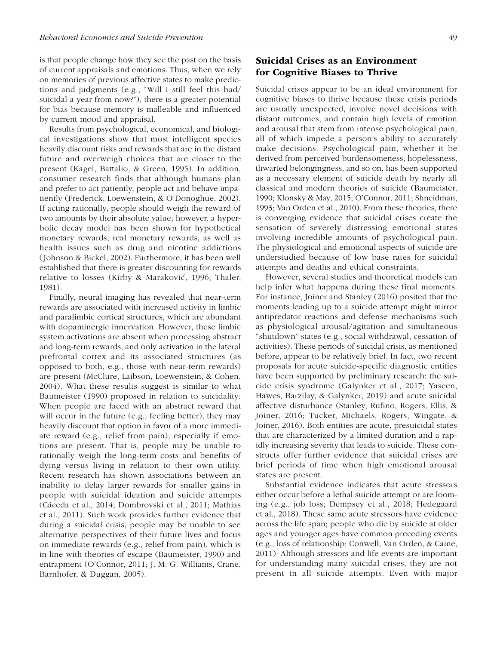is that people change how they see the past on the basis of current appraisals and emotions. Thus, when we rely on memories of previous affective states to make predictions and judgments (e.g., "Will I still feel this bad/ suicidal a year from now?"), there is a greater potential for bias because memory is malleable and influenced by current mood and appraisal.

Results from psychological, economical, and biological investigations show that most intelligent species heavily discount risks and rewards that are in the distant future and overweigh choices that are closer to the present (Kagel, Battalio, & Green, 1995). In addition, consumer research finds that although humans plan and prefer to act patiently, people act and behave impatiently (Frederick, Loewenstein, & O'Donoghue, 2002). If acting rationally, people should weigh the reward of two amounts by their absolute value; however, a hyperbolic decay model has been shown for hypothetical monetary rewards, real monetary rewards, as well as health issues such as drug and nicotine addictions (Johnson & Bickel, 2002). Furthermore, it has been well established that there is greater discounting for rewards relative to losses (Kirby & Maraković, 1996; Thaler, 1981).

Finally, neural imaging has revealed that near-term rewards are associated with increased activity in limbic and paralimbic cortical structures, which are abundant with dopaminergic innervation. However, these limbic system activations are absent when processing abstract and long-term rewards, and only activation in the lateral prefrontal cortex and its associated structures (as opposed to both, e.g., those with near-term rewards) are present (McClure, Laibson, Loewenstein, & Cohen, 2004). What these results suggest is similar to what Baumeister (1990) proposed in relation to suicidality: When people are faced with an abstract reward that will occur in the future (e.g., feeling better), they may heavily discount that option in favor of a more immediate reward (e.g., relief from pain), especially if emotions are present. That is, people may be unable to rationally weigh the long-term costs and benefits of dying versus living in relation to their own utility. Recent research has shown associations between an inability to delay larger rewards for smaller gains in people with suicidal ideation and suicide attempts (Cáceda et al., 2014; Dombrovski et al., 2011; Mathias et al., 2011). Such work provides further evidence that during a suicidal crisis, people may be unable to see alternative perspectives of their future lives and focus on immediate rewards (e.g., relief from pain), which is in line with theories of escape (Baumeister, 1990) and entrapment (O'Connor, 2011; J. M. G. Williams, Crane, Barnhofer, & Duggan, 2005).

# Suicidal Crises as an Environment for Cognitive Biases to Thrive

Suicidal crises appear to be an ideal environment for cognitive biases to thrive because these crisis periods are usually unexpected, involve novel decisions with distant outcomes, and contain high levels of emotion and arousal that stem from intense psychological pain, all of which impede a person's ability to accurately make decisions. Psychological pain, whether it be derived from perceived burdensomeness, hopelessness, thwarted belongingness, and so on, has been supported as a necessary element of suicide death by nearly all classical and modern theories of suicide (Baumeister, 1990; Klonsky & May, 2015; O'Connor, 2011; Shneidman, 1993; Van Orden et al., 2010). From these theories, there is converging evidence that suicidal crises create the sensation of severely distressing emotional states involving incredible amounts of psychological pain. The physiological and emotional aspects of suicide are understudied because of low base rates for suicidal attempts and deaths and ethical constraints.

However, several studies and theoretical models can help infer what happens during these final moments. For instance, Joiner and Stanley (2016) posited that the moments leading up to a suicide attempt might mirror antipredator reactions and defense mechanisms such as physiological arousal/agitation and simultaneous "shutdown" states (e.g., social withdrawal, cessation of activities). These periods of suicidal crisis, as mentioned before, appear to be relatively brief. In fact, two recent proposals for acute suicide-specific diagnostic entities have been supported by preliminary research: the suicide crisis syndrome (Galynker et al., 2017; Yaseen, Hawes, Barzilay, & Galynker, 2019) and acute suicidal affective disturbance (Stanley, Rufino, Rogers, Ellis, & Joiner, 2016; Tucker, Michaels, Rogers, Wingate, & Joiner, 2016). Both entities are acute, presuicidal states that are characterized by a limited duration and a rapidly increasing severity that leads to suicide. These constructs offer further evidence that suicidal crises are brief periods of time when high emotional arousal states are present.

Substantial evidence indicates that acute stressors either occur before a lethal suicide attempt or are looming (e.g., job loss; Dempsey et al., 2018; Hedegaard et al., 2018). These same acute stressors have evidence across the life span; people who die by suicide at older ages and younger ages have common preceding events (e.g., loss of relationship; Conwell, Van Orden, & Caine, 2011). Although stressors and life events are important for understanding many suicidal crises, they are not present in all suicide attempts. Even with major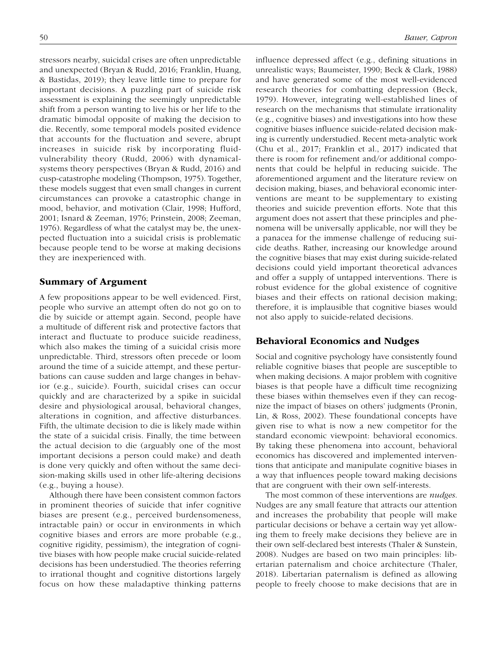stressors nearby, suicidal crises are often unpredictable and unexpected (Bryan & Rudd, 2016; Franklin, Huang, & Bastidas, 2019); they leave little time to prepare for important decisions. A puzzling part of suicide risk assessment is explaining the seemingly unpredictable shift from a person wanting to live his or her life to the dramatic bimodal opposite of making the decision to die. Recently, some temporal models posited evidence that accounts for the fluctuation and severe, abrupt increases in suicide risk by incorporating fluidvulnerability theory (Rudd, 2006) with dynamicalsystems theory perspectives (Bryan & Rudd, 2016) and cusp-catastrophe modeling (Thompson, 1975). Together, these models suggest that even small changes in current circumstances can provoke a catastrophic change in mood, behavior, and motivation (Clair, 1998; Hufford, 2001; Isnard & Zeeman, 1976; Prinstein, 2008; Zeeman, 1976). Regardless of what the catalyst may be, the unexpected fluctuation into a suicidal crisis is problematic because people tend to be worse at making decisions they are inexperienced with.

## Summary of Argument

A few propositions appear to be well evidenced. First, people who survive an attempt often do not go on to die by suicide or attempt again. Second, people have a multitude of different risk and protective factors that interact and fluctuate to produce suicide readiness, which also makes the timing of a suicidal crisis more unpredictable. Third, stressors often precede or loom around the time of a suicide attempt, and these perturbations can cause sudden and large changes in behavior (e.g., suicide). Fourth, suicidal crises can occur quickly and are characterized by a spike in suicidal desire and physiological arousal, behavioral changes, alterations in cognition, and affective disturbances. Fifth, the ultimate decision to die is likely made within the state of a suicidal crisis. Finally, the time between the actual decision to die (arguably one of the most important decisions a person could make) and death is done very quickly and often without the same decision-making skills used in other life-altering decisions (e.g., buying a house).

Although there have been consistent common factors in prominent theories of suicide that infer cognitive biases are present (e.g., perceived burdensomeness, intractable pain) or occur in environments in which cognitive biases and errors are more probable (e.g., cognitive rigidity, pessimism), the integration of cognitive biases with how people make crucial suicide-related decisions has been understudied. The theories referring to irrational thought and cognitive distortions largely focus on how these maladaptive thinking patterns influence depressed affect (e.g., defining situations in unrealistic ways; Baumeister, 1990; Beck & Clark, 1988) and have generated some of the most well-evidenced research theories for combatting depression (Beck, 1979). However, integrating well-established lines of research on the mechanisms that stimulate irrationality (e.g., cognitive biases) and investigations into how these cognitive biases influence suicide-related decision making is currently understudied. Recent meta-analytic work (Chu et al., 2017; Franklin et al., 2017) indicated that there is room for refinement and/or additional components that could be helpful in reducing suicide. The aforementioned argument and the literature review on decision making, biases, and behavioral economic interventions are meant to be supplementary to existing theories and suicide prevention efforts. Note that this argument does not assert that these principles and phenomena will be universally applicable, nor will they be a panacea for the immense challenge of reducing suicide deaths. Rather, increasing our knowledge around the cognitive biases that may exist during suicide-related decisions could yield important theoretical advances and offer a supply of untapped interventions. There is robust evidence for the global existence of cognitive biases and their effects on rational decision making; therefore, it is implausible that cognitive biases would not also apply to suicide-related decisions.

## Behavioral Economics and Nudges

Social and cognitive psychology have consistently found reliable cognitive biases that people are susceptible to when making decisions. A major problem with cognitive biases is that people have a difficult time recognizing these biases within themselves even if they can recognize the impact of biases on others' judgments (Pronin, Lin, & Ross, 2002). These foundational concepts have given rise to what is now a new competitor for the standard economic viewpoint: behavioral economics. By taking these phenomena into account, behavioral economics has discovered and implemented interventions that anticipate and manipulate cognitive biases in a way that influences people toward making decisions that are congruent with their own self-interests.

The most common of these interventions are *nudges*. Nudges are any small feature that attracts our attention and increases the probability that people will make particular decisions or behave a certain way yet allowing them to freely make decisions they believe are in their own self-declared best interests (Thaler & Sunstein, 2008). Nudges are based on two main principles: libertarian paternalism and choice architecture (Thaler, 2018). Libertarian paternalism is defined as allowing people to freely choose to make decisions that are in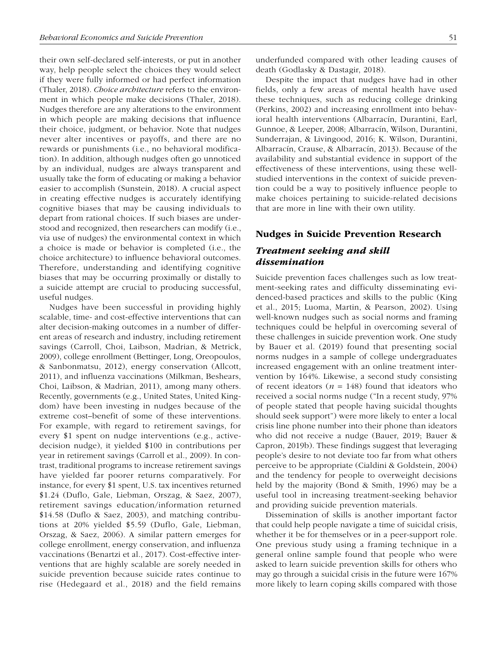their own self-declared self-interests, or put in another way, help people select the choices they would select if they were fully informed or had perfect information (Thaler, 2018). *Choice architecture* refers to the environment in which people make decisions (Thaler, 2018). Nudges therefore are any alterations to the environment in which people are making decisions that influence their choice, judgment, or behavior. Note that nudges never alter incentives or payoffs, and there are no rewards or punishments (i.e., no behavioral modification). In addition, although nudges often go unnoticed by an individual, nudges are always transparent and usually take the form of educating or making a behavior easier to accomplish (Sunstein, 2018). A crucial aspect in creating effective nudges is accurately identifying cognitive biases that may be causing individuals to depart from rational choices. If such biases are understood and recognized, then researchers can modify (i.e., via use of nudges) the environmental context in which a choice is made or behavior is completed (i.e., the choice architecture) to influence behavioral outcomes. Therefore, understanding and identifying cognitive biases that may be occurring proximally or distally to a suicide attempt are crucial to producing successful, useful nudges.

Nudges have been successful in providing highly scalable, time- and cost-effective interventions that can alter decision-making outcomes in a number of different areas of research and industry, including retirement savings (Carroll, Choi, Laibson, Madrian, & Metrick, 2009), college enrollment (Bettinger, Long, Oreopoulos, & Sanbonmatsu, 2012), energy conservation (Allcott, 2011), and influenza vaccinations (Milkman, Beshears, Choi, Laibson, & Madrian, 2011), among many others. Recently, governments (e.g., United States, United Kingdom) have been investing in nudges because of the extreme cost–benefit of some of these interventions. For example, with regard to retirement savings, for every \$1 spent on nudge interventions (e.g., activedecision nudge), it yielded \$100 in contributions per year in retirement savings (Carroll et al., 2009). In contrast, traditional programs to increase retirement savings have yielded far poorer returns comparatively. For instance, for every \$1 spent, U.S. tax incentives returned \$1.24 (Duflo, Gale, Liebman, Orszag, & Saez, 2007), retirement savings education/information returned \$14.58 (Duflo & Saez, 2003), and matching contributions at 20% yielded \$5.59 (Duflo, Gale, Liebman, Orszag, & Saez, 2006). A similar pattern emerges for college enrollment, energy conservation, and influenza vaccinations (Benartzi et al., 2017). Cost-effective interventions that are highly scalable are sorely needed in suicide prevention because suicide rates continue to rise (Hedegaard et al., 2018) and the field remains underfunded compared with other leading causes of death (Godlasky & Dastagir, 2018).

Despite the impact that nudges have had in other fields, only a few areas of mental health have used these techniques, such as reducing college drinking (Perkins, 2002) and increasing enrollment into behavioral health interventions (Albarracín, Durantini, Earl, Gunnoe, & Leeper, 2008; Albarracín, Wilson, Durantini, Sunderrajan, & Livingood, 2016; K. Wilson, Durantini, Albarracín, Crause, & Albarracín, 2013). Because of the availability and substantial evidence in support of the effectiveness of these interventions, using these wellstudied interventions in the context of suicide prevention could be a way to positively influence people to make choices pertaining to suicide-related decisions that are more in line with their own utility.

#### Nudges in Suicide Prevention Research

## *Treatment seeking and skill dissemination*

Suicide prevention faces challenges such as low treatment-seeking rates and difficulty disseminating evidenced-based practices and skills to the public (King et al., 2015; Luoma, Martin, & Pearson, 2002). Using well-known nudges such as social norms and framing techniques could be helpful in overcoming several of these challenges in suicide prevention work. One study by Bauer et al. (2019) found that presenting social norms nudges in a sample of college undergraduates increased engagement with an online treatment intervention by 164%. Likewise, a second study consisting of recent ideators ( $n = 148$ ) found that ideators who received a social norms nudge ("In a recent study, 97% of people stated that people having suicidal thoughts should seek support") were more likely to enter a local crisis line phone number into their phone than ideators who did not receive a nudge (Bauer, 2019; Bauer & Capron, 2019b). These findings suggest that leveraging people's desire to not deviate too far from what others perceive to be appropriate (Cialdini & Goldstein, 2004) and the tendency for people to overweight decisions held by the majority (Bond & Smith, 1996) may be a useful tool in increasing treatment-seeking behavior and providing suicide prevention materials.

Dissemination of skills is another important factor that could help people navigate a time of suicidal crisis, whether it be for themselves or in a peer-support role. One previous study using a framing technique in a general online sample found that people who were asked to learn suicide prevention skills for others who may go through a suicidal crisis in the future were 167% more likely to learn coping skills compared with those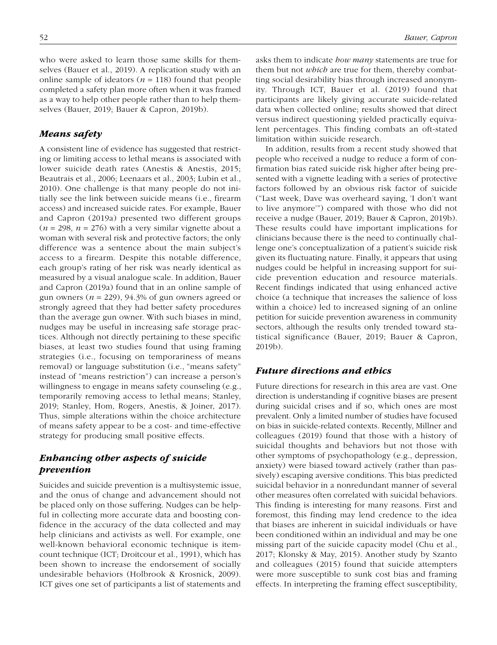who were asked to learn those same skills for themselves (Bauer et al., 2019). A replication study with an online sample of ideators ( $n = 118$ ) found that people completed a safety plan more often when it was framed as a way to help other people rather than to help themselves (Bauer, 2019; Bauer & Capron, 2019b).

# *Means safety*

A consistent line of evidence has suggested that restricting or limiting access to lethal means is associated with lower suicide death rates (Anestis & Anestis, 2015; Beautrais et al., 2006; Leenaars et al., 2003; Lubin et al., 2010). One challenge is that many people do not initially see the link between suicide means (i.e., firearm access) and increased suicide rates. For example, Bauer and Capron (2019a) presented two different groups  $(n = 298, n = 276)$  with a very similar vignette about a woman with several risk and protective factors; the only difference was a sentence about the main subject's access to a firearm. Despite this notable difference, each group's rating of her risk was nearly identical as measured by a visual analogue scale. In addition, Bauer and Capron (2019a) found that in an online sample of gun owners  $(n = 229)$ , 94.3% of gun owners agreed or strongly agreed that they had better safety procedures than the average gun owner. With such biases in mind, nudges may be useful in increasing safe storage practices. Although not directly pertaining to these specific biases, at least two studies found that using framing strategies (i.e., focusing on temporariness of means removal) or language substitution (i.e., "means safety" instead of "means restriction") can increase a person's willingness to engage in means safety counseling (e.g., temporarily removing access to lethal means; Stanley, 2019; Stanley, Hom, Rogers, Anestis, & Joiner, 2017). Thus, simple alterations within the choice architecture of means safety appear to be a cost- and time-effective strategy for producing small positive effects.

# *Enhancing other aspects of suicide prevention*

Suicides and suicide prevention is a multisystemic issue, and the onus of change and advancement should not be placed only on those suffering. Nudges can be helpful in collecting more accurate data and boosting confidence in the accuracy of the data collected and may help clinicians and activists as well. For example, one well-known behavioral economic technique is itemcount technique (ICT; Droitcour et al., 1991), which has been shown to increase the endorsement of socially undesirable behaviors (Holbrook & Krosnick, 2009). ICT gives one set of participants a list of statements and asks them to indicate *how many* statements are true for them but not *which* are true for them, thereby combatting social desirability bias through increased anonymity. Through ICT, Bauer et al. (2019) found that participants are likely giving accurate suicide-related data when collected online; results showed that direct versus indirect questioning yielded practically equivalent percentages. This finding combats an oft-stated limitation within suicide research.

In addition, results from a recent study showed that people who received a nudge to reduce a form of confirmation bias rated suicide risk higher after being presented with a vignette leading with a series of protective factors followed by an obvious risk factor of suicide ("Last week, Dave was overheard saying, 'I don't want to live anymore'") compared with those who did not receive a nudge (Bauer, 2019; Bauer & Capron, 2019b). These results could have important implications for clinicians because there is the need to continually challenge one's conceptualization of a patient's suicide risk given its fluctuating nature. Finally, it appears that using nudges could be helpful in increasing support for suicide prevention education and resource materials. Recent findings indicated that using enhanced active choice (a technique that increases the salience of loss within a choice) led to increased signing of an online petition for suicide prevention awareness in community sectors, although the results only trended toward statistical significance (Bauer, 2019; Bauer & Capron, 2019b).

## *Future directions and ethics*

Future directions for research in this area are vast. One direction is understanding if cognitive biases are present during suicidal crises and if so, which ones are most prevalent. Only a limited number of studies have focused on bias in suicide-related contexts. Recently, Millner and colleagues (2019) found that those with a history of suicidal thoughts and behaviors but not those with other symptoms of psychopathology (e.g., depression, anxiety) were biased toward actively (rather than passively) escaping aversive conditions. This bias predicted suicidal behavior in a nonredundant manner of several other measures often correlated with suicidal behaviors. This finding is interesting for many reasons. First and foremost, this finding may lend credence to the idea that biases are inherent in suicidal individuals or have been conditioned within an individual and may be one missing part of the suicide capacity model (Chu et al., 2017; Klonsky & May, 2015). Another study by Szanto and colleagues (2015) found that suicide attempters were more susceptible to sunk cost bias and framing effects. In interpreting the framing effect susceptibility,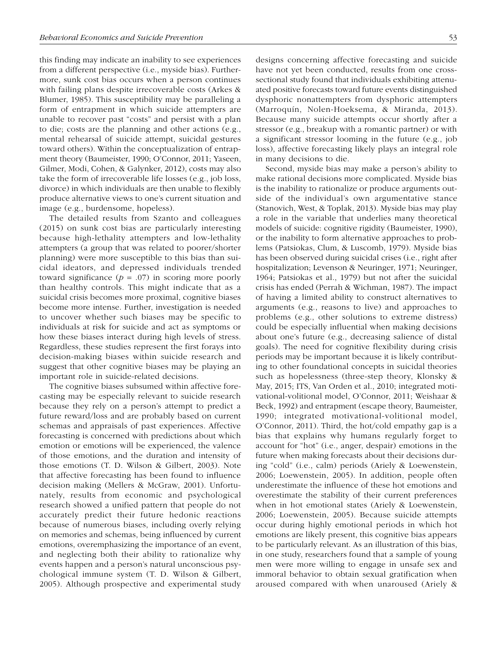this finding may indicate an inability to see experiences from a different perspective (i.e., myside bias). Furthermore, sunk cost bias occurs when a person continues with failing plans despite irrecoverable costs (Arkes & Blumer, 1985). This susceptibility may be paralleling a form of entrapment in which suicide attempters are unable to recover past "costs" and persist with a plan to die; costs are the planning and other actions (e.g., mental rehearsal of suicide attempt, suicidal gestures toward others). Within the conceptualization of entrapment theory (Baumeister, 1990; O'Connor, 2011; Yaseen, Gilmer, Modi, Cohen, & Galynker, 2012), costs may also take the form of irrecoverable life losses (e.g., job loss, divorce) in which individuals are then unable to flexibly produce alternative views to one's current situation and image (e.g., burdensome, hopeless).

The detailed results from Szanto and colleagues (2015) on sunk cost bias are particularly interesting because high-lethality attempters and low-lethality attempters (a group that was related to poorer/shorter planning) were more susceptible to this bias than suicidal ideators, and depressed individuals trended toward significance  $(p = .07)$  in scoring more poorly than healthy controls. This might indicate that as a suicidal crisis becomes more proximal, cognitive biases become more intense. Further, investigation is needed to uncover whether such biases may be specific to individuals at risk for suicide and act as symptoms or how these biases interact during high levels of stress. Regardless, these studies represent the first forays into decision-making biases within suicide research and suggest that other cognitive biases may be playing an important role in suicide-related decisions.

The cognitive biases subsumed within affective forecasting may be especially relevant to suicide research because they rely on a person's attempt to predict a future reward/loss and are probably based on current schemas and appraisals of past experiences. Affective forecasting is concerned with predictions about which emotion or emotions will be experienced, the valence of those emotions, and the duration and intensity of those emotions (T. D. Wilson & Gilbert, 2003). Note that affective forecasting has been found to influence decision making (Mellers & McGraw, 2001). Unfortunately, results from economic and psychological research showed a unified pattern that people do not accurately predict their future hedonic reactions because of numerous biases, including overly relying on memories and schemas, being influenced by current emotions, overemphasizing the importance of an event, and neglecting both their ability to rationalize why events happen and a person's natural unconscious psychological immune system (T. D. Wilson & Gilbert, 2005). Although prospective and experimental study designs concerning affective forecasting and suicide have not yet been conducted, results from one crosssectional study found that individuals exhibiting attenuated positive forecasts toward future events distinguished dysphoric nonattempters from dysphoric attempters (Marroquín, Nolen-Hoeksema, & Miranda, 2013). Because many suicide attempts occur shortly after a stressor (e.g., breakup with a romantic partner) or with a significant stressor looming in the future (e.g., job loss), affective forecasting likely plays an integral role in many decisions to die.

Second, myside bias may make a person's ability to make rational decisions more complicated. Myside bias is the inability to rationalize or produce arguments outside of the individual's own argumentative stance (Stanovich, West, & Toplak, 2013). Myside bias may play a role in the variable that underlies many theoretical models of suicide: cognitive rigidity (Baumeister, 1990), or the inability to form alternative approaches to problems (Patsiokas, Clum, & Luscomb, 1979). Myside bias has been observed during suicidal crises (i.e., right after hospitalization; Levenson & Neuringer, 1971; Neuringer, 1964; Patsiokas et al., 1979) but not after the suicidal crisis has ended (Perrah & Wichman, 1987). The impact of having a limited ability to construct alternatives to arguments (e.g., reasons to live) and approaches to problems (e.g., other solutions to extreme distress) could be especially influential when making decisions about one's future (e.g., decreasing salience of distal goals). The need for cognitive flexibility during crisis periods may be important because it is likely contributing to other foundational concepts in suicidal theories such as hopelessness (three-step theory, Klonsky & May, 2015; ITS, Van Orden et al., 2010; integrated motivational-volitional model, O'Connor, 2011; Weishaar & Beck, 1992) and entrapment (escape theory, Baumeister, 1990; integrated motivational-volitional model, O'Connor, 2011). Third, the hot/cold empathy gap is a bias that explains why humans regularly forget to account for "hot" (i.e., anger, despair) emotions in the future when making forecasts about their decisions during "cold" (i.e., calm) periods (Ariely & Loewenstein, 2006; Loewenstein, 2005). In addition, people often underestimate the influence of these hot emotions and overestimate the stability of their current preferences when in hot emotional states (Ariely & Loewenstein, 2006; Loewenstein, 2005). Because suicide attempts occur during highly emotional periods in which hot emotions are likely present, this cognitive bias appears to be particularly relevant. As an illustration of this bias, in one study, researchers found that a sample of young men were more willing to engage in unsafe sex and immoral behavior to obtain sexual gratification when aroused compared with when unaroused (Ariely &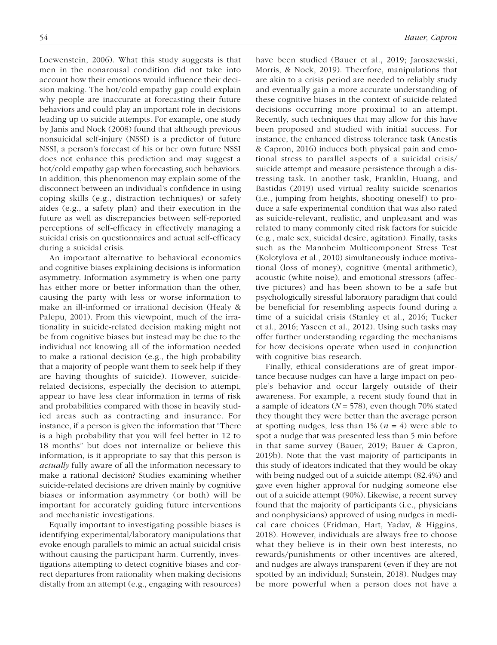Loewenstein, 2006). What this study suggests is that men in the nonarousal condition did not take into account how their emotions would influence their decision making. The hot/cold empathy gap could explain why people are inaccurate at forecasting their future behaviors and could play an important role in decisions leading up to suicide attempts. For example, one study by Janis and Nock (2008) found that although previous nonsuicidal self-injury (NSSI) is a predictor of future NSSI, a person's forecast of his or her own future NSSI does not enhance this prediction and may suggest a hot/cold empathy gap when forecasting such behaviors. In addition, this phenomenon may explain some of the disconnect between an individual's confidence in using coping skills (e.g., distraction techniques) or safety aides (e.g., a safety plan) and their execution in the future as well as discrepancies between self-reported perceptions of self-efficacy in effectively managing a suicidal crisis on questionnaires and actual self-efficacy during a suicidal crisis.

An important alternative to behavioral economics and cognitive biases explaining decisions is information asymmetry. Information asymmetry is when one party has either more or better information than the other, causing the party with less or worse information to make an ill-informed or irrational decision (Healy & Palepu, 2001). From this viewpoint, much of the irrationality in suicide-related decision making might not be from cognitive biases but instead may be due to the individual not knowing all of the information needed to make a rational decision (e.g., the high probability that a majority of people want them to seek help if they are having thoughts of suicide). However, suiciderelated decisions, especially the decision to attempt, appear to have less clear information in terms of risk and probabilities compared with those in heavily studied areas such as contracting and insurance. For instance, if a person is given the information that "There is a high probability that you will feel better in 12 to 18 months" but does not internalize or believe this information, is it appropriate to say that this person is *actually* fully aware of all the information necessary to make a rational decision? Studies examining whether suicide-related decisions are driven mainly by cognitive biases or information asymmetry (or both) will be important for accurately guiding future interventions and mechanistic investigations.

Equally important to investigating possible biases is identifying experimental/laboratory manipulations that evoke enough parallels to mimic an actual suicidal crisis without causing the participant harm. Currently, investigations attempting to detect cognitive biases and correct departures from rationality when making decisions distally from an attempt (e.g., engaging with resources)

have been studied (Bauer et al., 2019; Jaroszewski, Morris, & Nock, 2019). Therefore, manipulations that are akin to a crisis period are needed to reliably study and eventually gain a more accurate understanding of these cognitive biases in the context of suicide-related decisions occurring more proximal to an attempt. Recently, such techniques that may allow for this have been proposed and studied with initial success. For instance, the enhanced distress tolerance task (Anestis & Capron, 2016) induces both physical pain and emotional stress to parallel aspects of a suicidal crisis/ suicide attempt and measure persistence through a distressing task. In another task, Franklin, Huang, and Bastidas (2019) used virtual reality suicide scenarios (i.e., jumping from heights, shooting oneself) to produce a safe experimental condition that was also rated as suicide-relevant, realistic, and unpleasant and was related to many commonly cited risk factors for suicide (e.g., male sex, suicidal desire, agitation). Finally, tasks such as the Mannheim Multicomponent Stress Test (Kolotylova et al., 2010) simultaneously induce motivational (loss of money), cognitive (mental arithmetic), acoustic (white noise), and emotional stressors (affective pictures) and has been shown to be a safe but psychologically stressful laboratory paradigm that could be beneficial for resembling aspects found during a time of a suicidal crisis (Stanley et al., 2016; Tucker et al., 2016; Yaseen et al., 2012). Using such tasks may offer further understanding regarding the mechanisms for how decisions operate when used in conjunction with cognitive bias research.

Finally, ethical considerations are of great importance because nudges can have a large impact on people's behavior and occur largely outside of their awareness. For example, a recent study found that in a sample of ideators (*N* = 578), even though 70% stated they thought they were better than the average person at spotting nudges, less than  $1\%$  ( $n = 4$ ) were able to spot a nudge that was presented less than 5 min before in that same survey (Bauer, 2019; Bauer & Capron, 2019b). Note that the vast majority of participants in this study of ideators indicated that they would be okay with being nudged out of a suicide attempt (82.4%) and gave even higher approval for nudging someone else out of a suicide attempt (90%). Likewise, a recent survey found that the majority of participants (i.e., physicians and nonphysicians) approved of using nudges in medical care choices (Fridman, Hart, Yadav, & Higgins, 2018). However, individuals are always free to choose what they believe is in their own best interests, no rewards/punishments or other incentives are altered, and nudges are always transparent (even if they are not spotted by an individual; Sunstein, 2018). Nudges may be more powerful when a person does not have a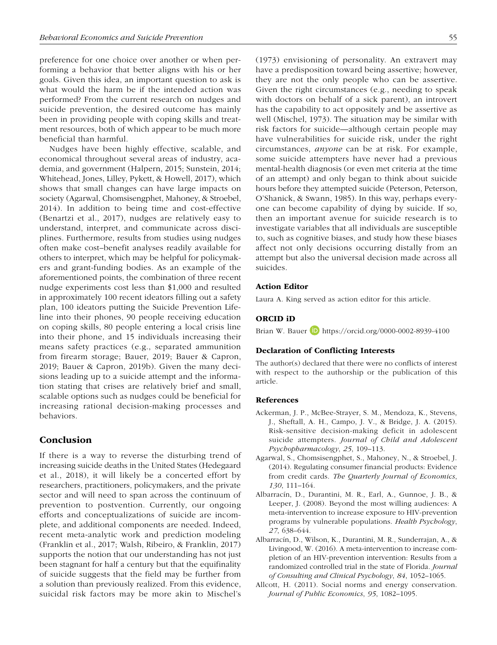preference for one choice over another or when performing a behavior that better aligns with his or her goals. Given this idea, an important question to ask is what would the harm be if the intended action was performed? From the current research on nudges and suicide prevention, the desired outcome has mainly been in providing people with coping skills and treatment resources, both of which appear to be much more beneficial than harmful.

Nudges have been highly effective, scalable, and economical throughout several areas of industry, academia, and government (Halpern, 2015; Sunstein, 2014; Whitehead, Jones, Lilley, Pykett, & Howell, 2017), which shows that small changes can have large impacts on society (Agarwal, Chomsisengphet, Mahoney, & Stroebel, 2014). In addition to being time and cost-effective (Benartzi et al., 2017), nudges are relatively easy to understand, interpret, and communicate across disciplines. Furthermore, results from studies using nudges often make cost–benefit analyses readily available for others to interpret, which may be helpful for policymakers and grant-funding bodies. As an example of the aforementioned points, the combination of three recent nudge experiments cost less than \$1,000 and resulted in approximately 100 recent ideators filling out a safety plan, 100 ideators putting the Suicide Prevention Lifeline into their phones, 90 people receiving education on coping skills, 80 people entering a local crisis line into their phone, and 15 individuals increasing their means safety practices (e.g., separated ammunition from firearm storage; Bauer, 2019; Bauer & Capron, 2019; Bauer & Capron, 2019b). Given the many decisions leading up to a suicide attempt and the information stating that crises are relatively brief and small, scalable options such as nudges could be beneficial for increasing rational decision-making processes and behaviors.

## Conclusion

If there is a way to reverse the disturbing trend of increasing suicide deaths in the United States (Hedegaard et al., 2018), it will likely be a concerted effort by researchers, practitioners, policymakers, and the private sector and will need to span across the continuum of prevention to postvention. Currently, our ongoing efforts and conceptualizations of suicide are incomplete, and additional components are needed. Indeed, recent meta-analytic work and prediction modeling (Franklin et al., 2017; Walsh, Ribeiro, & Franklin, 2017) supports the notion that our understanding has not just been stagnant for half a century but that the equifinality of suicide suggests that the field may be further from a solution than previously realized. From this evidence, suicidal risk factors may be more akin to Mischel's

(1973) envisioning of personality. An extravert may have a predisposition toward being assertive; however, they are not the only people who can be assertive. Given the right circumstances (e.g., needing to speak with doctors on behalf of a sick parent), an introvert has the capability to act oppositely and be assertive as well (Mischel, 1973). The situation may be similar with risk factors for suicide—although certain people may have vulnerabilities for suicide risk, under the right circumstances, *anyone* can be at risk. For example, some suicide attempters have never had a previous mental-health diagnosis (or even met criteria at the time of an attempt) and only began to think about suicide hours before they attempted suicide (Peterson, Peterson, O'Shanick, & Swann, 1985). In this way, perhaps everyone can become capability of dying by suicide. If so, then an important avenue for suicide research is to investigate variables that all individuals are susceptible to, such as cognitive biases, and study how these biases affect not only decisions occurring distally from an attempt but also the universal decision made across all suicides.

#### Action Editor

Laura A. King served as action editor for this article.

#### ORCID iD

Brian W. Bauer **D** <https://orcid.org/0000-0002-8939-4100>

## Declaration of Conflicting Interests

The author(s) declared that there were no conflicts of interest with respect to the authorship or the publication of this article.

#### References

- Ackerman, J. P., McBee-Strayer, S. M., Mendoza, K., Stevens, J., Sheftall, A. H., Campo, J. V., & Bridge, J. A. (2015). Risk-sensitive decision-making deficit in adolescent suicide attempters. *Journal of Child and Adolescent Psychopharmacology*, *25*, 109–113.
- Agarwal, S., Chomsisengphet, S., Mahoney, N., & Stroebel, J. (2014). Regulating consumer financial products: Evidence from credit cards. *The Quarterly Journal of Economics*, *130*, 111–164.
- Albarracín, D., Durantini, M. R., Earl, A., Gunnoe, J. B., & Leeper, J. (2008). Beyond the most willing audiences: A meta-intervention to increase exposure to HIV-prevention programs by vulnerable populations. *Health Psychology*, *27*, 638–644.
- Albarracín, D., Wilson, K., Durantini, M. R., Sunderrajan, A., & Livingood, W. (2016). A meta-intervention to increase completion of an HIV-prevention intervention: Results from a randomized controlled trial in the state of Florida. *Journal of Consulting and Clinical Psychology*, *84*, 1052–1065.
- Allcott, H. (2011). Social norms and energy conservation. *Journal of Public Economics*, *95*, 1082–1095.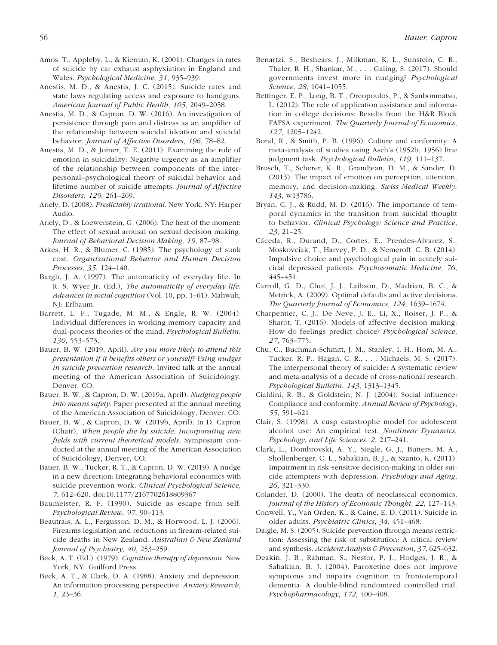- Amos, T., Appleby, L., & Kiernan, K. (2001). Changes in rates of suicide by car exhaust asphyxiation in England and Wales. *Psychological Medicine*, *31*, 935–939.
- Anestis, M. D., & Anestis, J. C. (2015). Suicide rates and state laws regulating access and exposure to handguns. *American Journal of Public Health*, *105*, 2049–2058.
- Anestis, M. D., & Capron, D. W. (2016). An investigation of persistence through pain and distress as an amplifier of the relationship between suicidal ideation and suicidal behavior. *Journal of Affective Disorders*, *196*, 78–82.
- Anestis, M. D., & Joiner, T. E. (2011). Examining the role of emotion in suicidality: Negative urgency as an amplifier of the relationship between components of the interpersonal–psychological theory of suicidal behavior and lifetime number of suicide attempts. *Journal of Affective Disorders*, *129*, 261–269.
- Ariely, D. (2008). *Predictably irrational*. New York, NY: Harper Audio.
- Ariely, D., & Loewenstein, G. (2006). The heat of the moment: The effect of sexual arousal on sexual decision making. *Journal of Behavioral Decision Making*, *19*, 87–98.
- Arkes, H. R., & Blumer, C. (1985). The psychology of sunk cost. *Organizational Behavior and Human Decision Processes*, *35*, 124–140.
- Bargh, J. A. (1997). The automaticity of everyday life. In R. S. Wyer Jr. (Ed.), *The automaticity of everyday life: Advances in social cognition* (Vol. 10, pp. 1–61). Mahwah, NJ: Erlbaum.
- Barrett, L. F., Tugade, M. M., & Engle, R. W. (2004). Individual differences in working memory capacity and dual-process theories of the mind. *Psychological Bulletin*, *130*, 553–573.
- Bauer, B. W. (2019, April). *Are you more likely to attend this presentation if it benefits others or yourself? Using nudges in suicide prevention research*. Invited talk at the annual meeting of the American Association of Suicidology, Denver, CO.
- Bauer, B. W., & Capron, D. W. (2019a, April). *Nudging people into means safety*. Paper presented at the annual meeting of the American Association of Suicidology, Denver, CO.
- Bauer, B. W., & Capron, D. W. (2019b, April). In D. Capron (Chair), *When people die by suicide: Incorporating new fields with current theoretical models*. Symposium conducted at the annual meeting of the American Association of Suicidology, Denver, CO.
- Bauer, B. W., Tucker, R. T., & Capron, D. W. (2019). A nudge in a new direction: Integrating behavioral economics with suicide prevention work. *Clinical Psychological Science*, *7*, 612–620. doi:10.1177/2167702618809367
- Baumeister, R. F. (1990). Suicide as escape from self. *Psychological Review*, *97*, 90–113.
- Beautrais, A. L., Fergusson, D. M., & Horwood, L. J. (2006). Firearms legislation and reductions in firearm-related suicide deaths in New Zealand. *Australian & New Zealand Journal of Psychiatry*, *40*, 253–259.
- Beck, A. T. (Ed.). (1979). *Cognitive therapy of depression*. New York, NY: Guilford Press.
- Beck, A. T., & Clark, D. A. (1988). Anxiety and depression: An information processing perspective. *Anxiety Research*, *1*, 23–36.
- Benartzi, S., Beshears, J., Milkman, K. L., Sunstein, C. R., Thaler, R. H., Shankar, M., . . . Galing, S. (2017). Should governments invest more in nudging? *Psychological Science*, *28*, 1041–1055.
- Bettinger, E. P., Long, B. T., Oreopoulos, P., & Sanbonmatsu, L. (2012). The role of application assistance and information in college decisions: Results from the H&R Block FAFSA experiment. *The Quarterly Journal of Economics*, *127*, 1205–1242.
- Bond, R., & Smith, P. B. (1996). Culture and conformity: A meta-analysis of studies using Asch's (1952b, 1956) line judgment task. *Psychological Bulletin*, *119*, 111–137.
- Brosch, T., Scherer, K. R., Grandjean, D. M., & Sander, D. (2013). The impact of emotion on perception, attention, memory, and decision-making. *Swiss Medical Weekly*, *143*, w13786.
- Bryan, C. J., & Rudd, M. D. (2016). The importance of temporal dynamics in the transition from suicidal thought to behavior. *Clinical Psychology: Science and Practice*, *23*, 21–25.
- Cáceda, R., Durand, D., Cortes, E., Prendes-Alvarez, S., Moskovciak, T., Harvey, P. D., & Nemeroff, C. B. (2014). Impulsive choice and psychological pain in acutely suicidal depressed patients. *Psychosomatic Medicine*, *76*, 445–451.
- Carroll, G. D., Choi, J. J., Laibson, D., Madrian, B. C., & Metrick, A. (2009). Optimal defaults and active decisions. *The Quarterly Journal of Economics*, *124*, 1639–1674.
- Charpentier, C. J., De Neve, J. E., Li, X., Roiser, J. P., & Sharot, T. (2016). Models of affective decision making: How do feelings predict choice? *Psychological Science*, *27*, 763–775.
- Chu, C., Buchman-Schmitt, J. M., Stanley, I. H., Hom, M. A., Tucker, R. P., Hagan, C. R., . . . Michaels, M. S. (2017). The interpersonal theory of suicide: A systematic review and meta-analysis of a decade of cross-national research. *Psychological Bulletin*, *143*, 1313–1345.
- Cialdini, R. B., & Goldstein, N. J. (2004). Social influence: Compliance and conformity. *Annual Review of Psychology*, *55*, 591–621.
- Clair, S. (1998). A cusp catastrophe model for adolescent alcohol use: An empirical test. *Nonlinear Dynamics, Psychology, and Life Sciences*, *2*, 217–241.
- Clark, L., Dombrovski, A. Y., Siegle, G. J., Butters, M. A., Shollenberger, C. L., Sahakian, B. J., & Szanto, K. (2011). Impairment in risk-sensitive decision-making in older suicide attempters with depression. *Psychology and Aging*, *26*, 321–330.
- Colander, D. (2000). The death of neoclassical economics. *Journal of the History of Economic Thought*, *22*, 127–143.
- Conwell, Y., Van Orden, K., & Caine, E. D. (2011). Suicide in older adults. *Psychiatric Clinics*, *34*, 451–468.
- Daigle, M. S. (2005). Suicide prevention through means restriction: Assessing the risk of substitution: A critical review and synthesis. *Accident Analysis & Prevention*, *37*, 625–632.
- Deakin, J. B., Rahman, S., Nestor, P. J., Hodges, J. R., & Sahakian, B. J. (2004). Paroxetine does not improve symptoms and impairs cognition in frontotemporal dementia: A double-blind randomized controlled trial. *Psychopharmacology*, *172*, 400–408.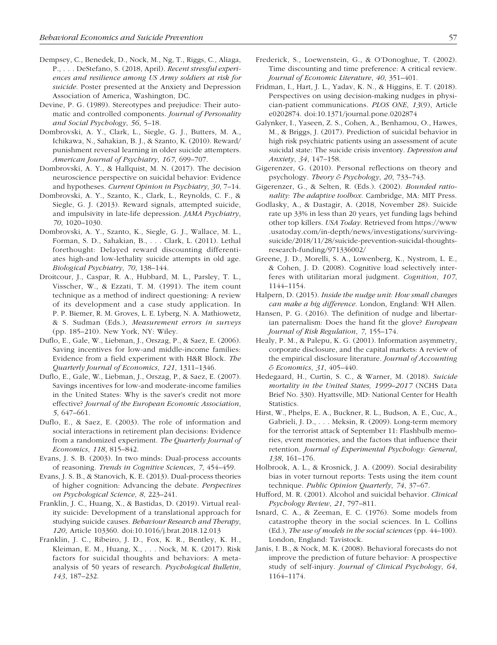- Dempsey, C., Benedek, D., Nock, M., Ng, T., Riggs, C., Aliaga, P., . . . DeStefano, S. (2018, April). *Recent stressful experiences and resilience among US Army soldiers at risk for suicide*. Poster presented at the Anxiety and Depression Association of America, Washington, DC.
- Devine, P. G. (1989). Stereotypes and prejudice: Their automatic and controlled components. *Journal of Personality and Social Psychology*, *56*, 5–18.
- Dombrovski, A. Y., Clark, L., Siegle, G. J., Butters, M. A., Ichikawa, N., Sahakian, B. J., & Szanto, K. (2010). Reward/ punishment reversal learning in older suicide attempters. *American Journal of Psychiatry*, *167*, 699–707.
- Dombrovski, A. Y., & Hallquist, M. N. (2017). The decision neuroscience perspective on suicidal behavior: Evidence and hypotheses. *Current Opinion in Psychiatry*, *30*, 7–14.
- Dombrovski, A. Y., Szanto, K., Clark, L., Reynolds, C. F., & Siegle, G. J. (2013). Reward signals, attempted suicide, and impulsivity in late-life depression. *JAMA Psychiatry*, *70*, 1020–1030.
- Dombrovski, A. Y., Szanto, K., Siegle, G. J., Wallace, M. L., Forman, S. D., Sahakian, B., . . . Clark, L. (2011). Lethal forethought: Delayed reward discounting differentiates high-and low-lethality suicide attempts in old age. *Biological Psychiatry*, *70*, 138–144.
- Droitcour, J., Caspar, R. A., Hubbard, M. L., Parsley, T. L., Visscher, W., & Ezzati, T. M. (1991). The item count technique as a method of indirect questioning: A review of its development and a case study application. In P. P. Biemer, R. M. Groves, L. E. Lyberg, N. A. Mathiowetz, & S. Sudman (Eds.), *Measurement errors in surveys* (pp. 185–210). New York, NY: Wiley.
- Duflo, E., Gale, W., Liebman, J., Orszag, P., & Saez, E. (2006). Saving incentives for low-and middle-income families: Evidence from a field experiment with H&R Block. *The Quarterly Journal of Economics*, *121*, 1311–1346.
- Duflo, E., Gale, W., Liebman, J., Orszag, P., & Saez, E. (2007). Savings incentives for low-and moderate-income families in the United States: Why is the saver's credit not more effective? *Journal of the European Economic Association*, *5*, 647–661.
- Duflo, E., & Saez, E. (2003). The role of information and social interactions in retirement plan decisions: Evidence from a randomized experiment. *The Quarterly Journal of Economics*, *118*, 815–842.
- Evans, J. S. B. (2003). In two minds: Dual-process accounts of reasoning. *Trends in Cognitive Sciences*, *7*, 454–459.
- Evans, J. S. B., & Stanovich, K. E. (2013). Dual-process theories of higher cognition: Advancing the debate. *Perspectives on Psychological Science*, *8*, 223–241.
- Franklin, J. C., Huang, X., & Bastidas, D. (2019). Virtual reality suicide: Development of a translational approach for studying suicide causes. *Behaviour Research and Therapy*, *120*, Article 103360. doi:10.1016/j.brat.2018.12.013
- Franklin, J. C., Ribeiro, J. D., Fox, K. R., Bentley, K. H., Kleiman, E. M., Huang, X., . . . Nock, M. K. (2017). Risk factors for suicidal thoughts and behaviors: A metaanalysis of 50 years of research. *Psychological Bulletin*, *143*, 187–232.
- Frederick, S., Loewenstein, G., & O'Donoghue, T. (2002). Time discounting and time preference: A critical review. *Journal of Economic Literature*, *40*, 351–401.
- Fridman, I., Hart, J. L., Yadav, K. N., & Higgins, E. T. (2018). Perspectives on using decision-making nudges in physician-patient communications. *PLOS ONE*, *13*(9), Article e0202874. doi:10.1371/journal.pone.0202874
- Galynker, I., Yaseen, Z. S., Cohen, A., Benhamou, O., Hawes, M., & Briggs, J. (2017). Prediction of suicidal behavior in high risk psychiatric patients using an assessment of acute suicidal state: The suicide crisis inventory. *Depression and Anxiety*, *34*, 147–158.
- Gigerenzer, G. (2010). Personal reflections on theory and psychology. *Theory & Psychology*, *20*, 733–743.
- Gigerenzer, G., & Selten, R. (Eds.). (2002). *Bounded rationality: The adaptive toolbox*. Cambridge, MA: MIT Press.
- Godlasky, A., & Dastagir, A. (2018, November 28). Suicide rate up 33% in less than 20 years, yet funding lags behind other top killers. *USA Today*. Retrieved from [https://www](https://www.usatoday.com/in-depth/news/investigations/surviving-suicide/2018/11/28/suicide-prevention-suicidal-thoughts-research-funding/971336002/) [.usatoday.com/in-depth/news/investigations/surviving](https://www.usatoday.com/in-depth/news/investigations/surviving-suicide/2018/11/28/suicide-prevention-suicidal-thoughts-research-funding/971336002/)[suicide/2018/11/28/suicide-prevention-suicidal-thoughts](https://www.usatoday.com/in-depth/news/investigations/surviving-suicide/2018/11/28/suicide-prevention-suicidal-thoughts-research-funding/971336002/)[research-funding/971336002/](https://www.usatoday.com/in-depth/news/investigations/surviving-suicide/2018/11/28/suicide-prevention-suicidal-thoughts-research-funding/971336002/)
- Greene, J. D., Morelli, S. A., Lowenberg, K., Nystrom, L. E., & Cohen, J. D. (2008). Cognitive load selectively interferes with utilitarian moral judgment. *Cognition*, *107*, 1144–1154.
- Halpern, D. (2015). *Inside the nudge unit: How small changes can make a big difference*. London, England: WH Allen.
- Hansen, P. G. (2016). The definition of nudge and libertarian paternalism: Does the hand fit the glove? *European Journal of Risk Regulation*, *7*, 155–174.
- Healy, P. M., & Palepu, K. G. (2001). Information asymmetry, corporate disclosure, and the capital markets: A review of the empirical disclosure literature. *Journal of Accounting & Economics*, *31*, 405–440.
- Hedegaard, H., Curtin, S. C., & Warner, M. (2018). *Suicide mortality in the United States, 1999–2017* (NCHS Data Brief No. 330). Hyattsville, MD: National Center for Health Statistics.
- Hirst, W., Phelps, E. A., Buckner, R. L., Budson, A. E., Cuc, A., Gabrieli, J. D., . . . Meksin, R. (2009). Long-term memory for the terrorist attack of September 11: Flashbulb memories, event memories, and the factors that influence their retention. *Journal of Experimental Psychology: General*, *138*, 161–176.
- Holbrook, A. L., & Krosnick, J. A. (2009). Social desirability bias in voter turnout reports: Tests using the item count technique. *Public Opinion Quarterly*, *74*, 37–67.
- Hufford, M. R. (2001). Alcohol and suicidal behavior. *Clinical Psychology Review*, *21*, 797–811.
- Isnard, C. A., & Zeeman, E. C. (1976). Some models from catastrophe theory in the social sciences. In L. Collins (Ed.), *The use of models in the social sciences* (pp. 44–100). London, England: Tavistock.
- Janis, I. B., & Nock, M. K. (2008). Behavioral forecasts do not improve the prediction of future behavior: A prospective study of self-injury. *Journal of Clinical Psychology*, *64*, 1164–1174.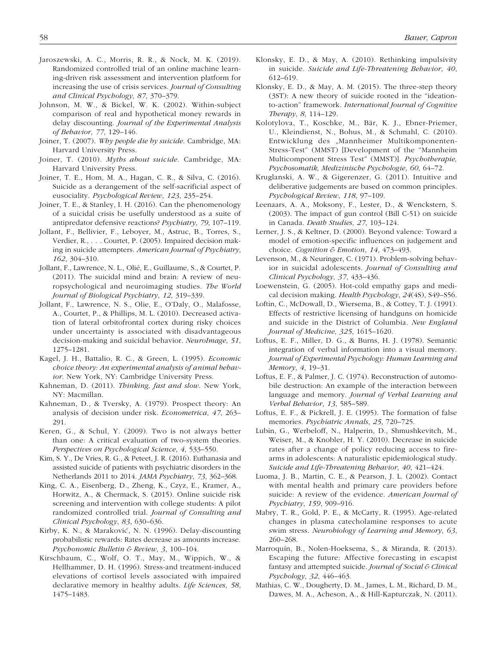- Jaroszewski, A. C., Morris, R. R., & Nock, M. K. (2019). Randomized controlled trial of an online machine learning-driven risk assessment and intervention platform for increasing the use of crisis services. *Journal of Consulting and Clinical Psychology*, *87*, 370–379.
- Johnson, M. W., & Bickel, W. K. (2002). Within-subject comparison of real and hypothetical money rewards in delay discounting. *Journal of the Experimental Analysis of Behavior*, *77*, 129–146.
- Joiner, T. (2007). *Why people die by suicide*. Cambridge, MA: Harvard University Press.
- Joiner, T. (2010). *Myths about suicide*. Cambridge, MA: Harvard University Press.
- Joiner, T. E., Hom, M. A., Hagan, C. R., & Silva, C. (2016). Suicide as a derangement of the self-sacrificial aspect of eusociality. *Psychological Review*, *123*, 235–254.
- Joiner, T. E., & Stanley, I. H. (2016). Can the phenomenology of a suicidal crisis be usefully understood as a suite of antipredator defensive reactions? *Psychiatry*, *79*, 107–119.
- Jollant, F., Bellivier, F., Leboyer, M., Astruc, B., Torres, S., Verdier, R., . . . Courtet, P. (2005). Impaired decision making in suicide attempters. *American Journal of Psychiatry*, *162*, 304–310.
- Jollant, F., Lawrence, N. L., Olié, E., Guillaume, S., & Courtet, P. (2011). The suicidal mind and brain: A review of neuropsychological and neuroimaging studies. *The World Journal of Biological Psychiatry*, *12*, 319–339.
- Jollant, F., Lawrence, N. S., Olie, E., O'Daly, O., Malafosse, A., Courtet, P., & Phillips, M. L. (2010). Decreased activation of lateral orbitofrontal cortex during risky choices under uncertainty is associated with disadvantageous decision-making and suicidal behavior. *NeuroImage*, *51*, 1275–1281.
- Kagel, J. H., Battalio, R. C., & Green, L. (1995). *Economic choice theory: An experimental analysis of animal behavior*. New York, NY: Cambridge University Press.
- Kahneman, D. (2011). *Thinking, fast and slow*. New York, NY: Macmillan.
- Kahneman, D., & Tversky, A. (1979). Prospect theory: An analysis of decision under risk. *Econometrica*, *47*, 263– 291.
- Keren, G., & Schul, Y. (2009). Two is not always better than one: A critical evaluation of two-system theories. *Perspectives on Psychological Science*, *4*, 533–550.
- Kim, S. Y., De Vries, R. G., & Peteet, J. R. (2016). Euthanasia and assisted suicide of patients with psychiatric disorders in the Netherlands 2011 to 2014. *JAMA Psychiatry*, *73*, 362–368.
- King, C. A., Eisenberg, D., Zheng, K., Czyz, E., Kramer, A., Horwitz, A., & Chermack, S. (2015). Online suicide risk screening and intervention with college students: A pilot randomized controlled trial. *Journal of Consulting and Clinical Psychology*, *83*, 630–636.
- Kirby, K. N., & Maraković, N. N. (1996). Delay-discounting probabilistic rewards: Rates decrease as amounts increase. *Psychonomic Bulletin & Review*, *3*, 100–104.
- Kirschbaum, C., Wolf, O. T., May, M., Wippich, W., & Hellhammer, D. H. (1996). Stress-and treatment-induced elevations of cortisol levels associated with impaired declarative memory in healthy adults. *Life Sciences*, *58*, 1475–1483.
- Klonsky, E. D., & May, A. (2010). Rethinking impulsivity in suicide. *Suicide and Life-Threatening Behavior*, *40*, 612–619.
- Klonsky, E. D., & May, A. M. (2015). The three-step theory (3ST): A new theory of suicide rooted in the "ideationto-action" framework. *International Journal of Cognitive Therapy*, *8*, 114–129.
- Kolotylova, T., Koschke, M., Bär, K. J., Ebner-Priemer, U., Kleindienst, N., Bohus, M., & Schmahl, C. (2010). Entwicklung des "Mannheimer Multikomponenten-Stress-Test" (MMST) [Development of the "Mannheim Multicomponent Stress Test" (MMST)]. *Psychotherapie, Psychosomatik, Medizinische Psychologie*, *60*, 64–72.
- Kruglanski, A. W., & Gigerenzer, G. (2011). Intuitive and deliberative judgements are based on common principles. *Psychological Review*, *118*, 97–109.
- Leenaars, A. A., Moksony, F., Lester, D., & Wenckstern, S. (2003). The impact of gun control (Bill C-51) on suicide in Canada. *Death Studies*, *27*, 103–124.
- Lerner, J. S., & Keltner, D. (2000). Beyond valence: Toward a model of emotion-specific influences on judgement and choice. *Cognition & Emotion*, *14*, 473–493.
- Levenson, M., & Neuringer, C. (1971). Problem-solving behavior in suicidal adolescents. *Journal of Consulting and Clinical Psychology*, *37*, 433–436.
- Loewenstein, G. (2005). Hot-cold empathy gaps and medical decision making. *Health Psychology*, *24*(4S), S49–S56.
- Loftin, C., McDowall, D., Wiersema, B., & Cottey, T. J. (1991). Effects of restrictive licensing of handguns on homicide and suicide in the District of Columbia. *New England Journal of Medicine*, *325*, 1615–1620.
- Loftus, E. F., Miller, D. G., & Burns, H. J. (1978). Semantic integration of verbal information into a visual memory. *Journal of Experimental Psychology: Human Learning and Memory*, *4*, 19–31.
- Loftus, E. F., & Palmer, J. C. (1974). Reconstruction of automobile destruction: An example of the interaction between language and memory. *Journal of Verbal Learning and Verbal Behavior*, *13*, 585–589.
- Loftus, E. F., & Pickrell, J. E. (1995). The formation of false memories. *Psychiatric Annals*, *25*, 720–725.
- Lubin, G., Werbeloff, N., Halperin, D., Shmushkevitch, M., Weiser, M., & Knobler, H. Y. (2010). Decrease in suicide rates after a change of policy reducing access to firearms in adolescents: A naturalistic epidemiological study. *Suicide and Life-Threatening Behavior*, *40*, 421–424.
- Luoma, J. B., Martin, C. E., & Pearson, J. L. (2002). Contact with mental health and primary care providers before suicide: A review of the evidence. *American Journal of Psychiatry*, *159*, 909–916.
- Mabry, T. R., Gold, P. E., & McCarty, R. (1995). Age-related changes in plasma catecholamine responses to acute swim stress. *Neurobiology of Learning and Memory*, *63*, 260–268.
- Marroquín, B., Nolen-Hoeksema, S., & Miranda, R. (2013). Escaping the future: Affective forecasting in escapist fantasy and attempted suicide. *Journal of Social & Clinical Psychology*, *32*, 446–463.
- Mathias, C. W., Dougherty, D. M., James, L. M., Richard, D. M., Dawes, M. A., Acheson, A., & Hill-Kapturczak, N. (2011).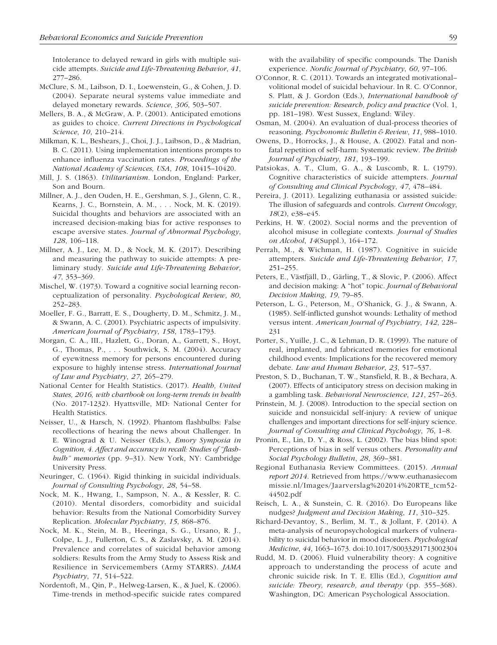Intolerance to delayed reward in girls with multiple suicide attempts. *Suicide and Life-Threatening Behavior*, *41*, 277–286.

- McClure, S. M., Laibson, D. I., Loewenstein, G., & Cohen, J. D. (2004). Separate neural systems value immediate and delayed monetary rewards. *Science*, *306*, 503–507.
- Mellers, B. A., & McGraw, A. P. (2001). Anticipated emotions as guides to choice. *Current Directions in Psychological Science*, *10*, 210–214.
- Milkman, K. L., Beshears, J., Choi, J. J., Laibson, D., & Madrian, B. C. (2011). Using implementation intentions prompts to enhance influenza vaccination rates. *Proceedings of the National Academy of Sciences, USA*, *108*, 10415–10420.
- Mill, J. S. (1863). *Utilitarianism*. London, England: Parker, Son and Bourn.
- Millner, A. J., den Ouden, H. E., Gershman, S. J., Glenn, C. R., Kearns, J. C., Bornstein, A. M., . . . Nock, M. K. (2019). Suicidal thoughts and behaviors are associated with an increased decision-making bias for active responses to escape aversive states. *Journal of Abnormal Psychology*, *128*, 106–118.
- Millner, A. J., Lee, M. D., & Nock, M. K. (2017). Describing and measuring the pathway to suicide attempts: A preliminary study. *Suicide and Life-Threatening Behavior*, *47*, 353–369.
- Mischel, W. (1973). Toward a cognitive social learning reconceptualization of personality. *Psychological Review*, *80*, 252–283.
- Moeller, F. G., Barratt, E. S., Dougherty, D. M., Schmitz, J. M., & Swann, A. C. (2001). Psychiatric aspects of impulsivity. *American Journal of Psychiatry*, *158*, 1783–1793.
- Morgan, C. A., III., Hazlett, G., Doran, A., Garrett, S., Hoyt, G., Thomas, P., . . . Southwick, S. M. (2004). Accuracy of eyewitness memory for persons encountered during exposure to highly intense stress. *International Journal of Law and Psychiatry*, *27*, 265–279.
- National Center for Health Statistics. (2017). *Health, United States, 2016, with chartbook on long-term trends in health* (No. 2017-1232). Hyattsville, MD: National Center for Health Statistics.
- Neisser, U., & Harsch, N. (1992). Phantom flashbulbs: False recollections of hearing the news about Challenger. In E. Winograd & U. Neisser (Eds.), *Emory Symposia in Cognition, 4. Affect and accuracy in recall: Studies of "flashbulb" memories* (pp. 9–31). New York, NY: Cambridge University Press.
- Neuringer, C. (1964). Rigid thinking in suicidal individuals. *Journal of Consulting Psychology*, *28*, 54–58.
- Nock, M. K., Hwang, I., Sampson, N. A., & Kessler, R. C. (2010). Mental disorders, comorbidity and suicidal behavior: Results from the National Comorbidity Survey Replication. *Molecular Psychiatry*, *15*, 868–876.
- Nock, M. K., Stein, M. B., Heeringa, S. G., Ursano, R. J., Colpe, L. J., Fullerton, C. S., & Zaslavsky, A. M. (2014). Prevalence and correlates of suicidal behavior among soldiers: Results from the Army Study to Assess Risk and Resilience in Servicemembers (Army STARRS). *JAMA Psychiatry*, *71*, 514–522.
- Nordentoft, M., Qin, P., Helweg-Larsen, K., & Juel, K. (2006). Time-trends in method-specific suicide rates compared

with the availability of specific compounds. The Danish experience. *Nordic Journal of Psychiatry*, *60*, 97–106.

- O'Connor, R. C. (2011). Towards an integrated motivational– volitional model of suicidal behaviour. In R. C. O'Connor, S. Platt, & J. Gordon (Eds.), *International handbook of suicide prevention: Research, policy and practice* (Vol. 1, pp. 181–198). West Sussex, England: Wiley.
- Osman, M. (2004). An evaluation of dual-process theories of reasoning. *Psychonomic Bulletin & Review*, *11*, 988–1010.
- Owens, D., Horrocks, J., & House, A. (2002). Fatal and nonfatal repetition of self-harm: Systematic review. *The British Journal of Psychiatry*, *181*, 193–199.
- Patsiokas, A. T., Clum, G. A., & Luscomb, R. L. (1979). Cognitive characteristics of suicide attempters. *Journal of Consulting and Clinical Psychology*, *47*, 478–484.
- Pereira, J. (2011). Legalizing euthanasia or assisted suicide: The illusion of safeguards and controls. *Current Oncology*, *18*(2), e38–e45.
- Perkins, H. W. (2002). Social norms and the prevention of alcohol misuse in collegiate contexts. *Journal of Studies on Alcohol*, *14*(Suppl.), 164–172.
- Perrah, M., & Wichman, H. (1987). Cognitive in suicide attempters. *Suicide and Life-Threatening Behavior*, *17*, 251–255.
- Peters, E., Västfjäll, D., Gärling, T., & Slovic, P. (2006). Affect and decision making: A "hot" topic. *Journal of Behavioral Decision Making*, *19*, 79–85.
- Peterson, L. G., Peterson, M., O'Shanick, G. J., & Swann, A. (1985). Self-inflicted gunshot wounds: Lethality of method versus intent. *American Journal of Psychiatry*, *142*, 228– 231
- Porter, S., Yuille, J. C., & Lehman, D. R. (1999). The nature of real, implanted, and fabricated memories for emotional childhood events: Implications for the recovered memory debate. *Law and Human Behavior*, *23*, 517–537.
- Preston, S. D., Buchanan, T. W., Stansfield, R. B., & Bechara, A. (2007). Effects of anticipatory stress on decision making in a gambling task. *Behavioral Neuroscience*, *121*, 257–263.
- Prinstein, M. J. (2008). Introduction to the special section on suicide and nonsuicidal self-injury: A review of unique challenges and important directions for self-injury science. *Journal of Consulting and Clinical Psychology*, *76*, 1–8.
- Pronin, E., Lin, D. Y., & Ross, L. (2002). The bias blind spot: Perceptions of bias in self versus others. *Personality and Social Psychology Bulletin*, *28*, 369–381.
- Regional Euthanasia Review Committees. (2015). *Annual report 2014*. Retrieved from [https://www.euthanasiecom](https://www.euthanasiecommissie.nl/Images/Jaarverslag%202014%20RTE_tcm52-44502.pdf) [missie.nl/Images/Jaarverslag%202014%20RTE\\_tcm52-](https://www.euthanasiecommissie.nl/Images/Jaarverslag%202014%20RTE_tcm52-44502.pdf) [44502.pdf](https://www.euthanasiecommissie.nl/Images/Jaarverslag%202014%20RTE_tcm52-44502.pdf)
- Reisch, L. A., & Sunstein, C. R. (2016). Do Europeans like nudges? *Judgment and Decision Making*, *11*, 310–325.
- Richard-Devantoy, S., Berlim, M. T., & Jollant, F. (2014). A meta-analysis of neuropsychological markers of vulnerability to suicidal behavior in mood disorders. *Psychological Medicine*, *44*, 1663–1673. doi:10.1017/S0033291713002304
- Rudd, M. D. (2006). Fluid vulnerability theory: A cognitive approach to understanding the process of acute and chronic suicide risk. In T. E. Ellis (Ed.), *Cognition and suicide: Theory, research, and therapy* (pp. 355–368). Washington, DC: American Psychological Association.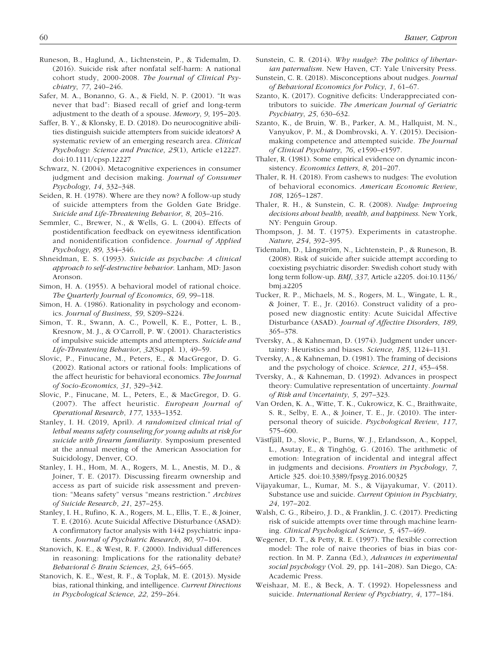- Runeson, B., Haglund, A., Lichtenstein, P., & Tidemalm, D. (2016). Suicide risk after nonfatal self-harm: A national cohort study, 2000-2008. *The Journal of Clinical Psychiatry*, *77*, 240–246.
- Safer, M. A., Bonanno, G. A., & Field, N. P. (2001). "It was never that bad": Biased recall of grief and long-term adjustment to the death of a spouse. *Memory*, *9*, 195–203.
- Saffer, B. Y., & Klonsky, E. D. (2018). Do neurocognitive abilities distinguish suicide attempters from suicide ideators? A systematic review of an emerging research area. *Clinical Psychology: Science and Practice*, *25*(1), Article e12227. doi:10.1111/cpsp.12227
- Schwarz, N. (2004). Metacognitive experiences in consumer judgment and decision making. *Journal of Consumer Psychology*, *14*, 332–348.
- Seiden, R. H. (1978). Where are they now? A follow-up study of suicide attempters from the Golden Gate Bridge. *Suicide and Life-Threatening Behavior*, *8*, 203–216.
- Semmler, C., Brewer, N., & Wells, G. L. (2004). Effects of postidentification feedback on eyewitness identification and nonidentification confidence. *Journal of Applied Psychology*, *89*, 334–346.
- Shneidman, E. S. (1993). *Suicide as psychache: A clinical approach to self-destructive behavior*. Lanham, MD: Jason Aronson.
- Simon, H. A. (1955). A behavioral model of rational choice. *The Quarterly Journal of Economics*, *69*, 99–118.
- Simon, H. A. (1986). Rationality in psychology and economics. *Journal of Business*, *59*, S209–S224.
- Simon, T. R., Swann, A. C., Powell, K. E., Potter, L. B., Kresnow, M. J., & O'Carroll, P. W. (2001). Characteristics of impulsive suicide attempts and attempters. *Suicide and Life-Threatening Behavior*, *32*(Suppl. 1), 49–59.
- Slovic, P., Finucane, M., Peters, E., & MacGregor, D. G. (2002). Rational actors or rational fools: Implications of the affect heuristic for behavioral economics. *The Journal of Socio-Economics*, *31*, 329–342.
- Slovic, P., Finucane, M. L., Peters, E., & MacGregor, D. G. (2007). The affect heuristic. *European Journal of Operational Research*, *177*, 1333–1352.
- Stanley, I. H. (2019, April). *A randomized clinical trial of lethal means safety counseling for young adults at risk for suicide with firearm familiarity*. Symposium presented at the annual meeting of the American Association for Suicidology, Denver, CO.
- Stanley, I. H., Hom, M. A., Rogers, M. L., Anestis, M. D., & Joiner, T. E. (2017). Discussing firearm ownership and access as part of suicide risk assessment and prevention: "Means safety" versus "means restriction." *Archives of Suicide Research*, *21*, 237–253.
- Stanley, I. H., Rufino, K. A., Rogers, M. L., Ellis, T. E., & Joiner, T. E. (2016). Acute Suicidal Affective Disturbance (ASAD): A confirmatory factor analysis with 1442 psychiatric inpatients. *Journal of Psychiatric Research*, *80*, 97–104.
- Stanovich, K. E., & West, R. F. (2000). Individual differences in reasoning: Implications for the rationality debate? *Behavioral & Brain Sciences*, *23*, 645–665.
- Stanovich, K. E., West, R. F., & Toplak, M. E. (2013). Myside bias, rational thinking, and intelligence. *Current Directions in Psychological Science*, *22*, 259–264.
- Sunstein, C. R. (2014). *Why nudge?: The politics of libertarian paternalism*. New Haven, CT: Yale University Press.
- Sunstein, C. R. (2018). Misconceptions about nudges. *Journal of Behavioral Economics for Policy*, *1*, 61–67.
- Szanto, K. (2017). Cognitive deficits: Underappreciated contributors to suicide. *The American Journal of Geriatric Psychiatry*, *25*, 630–632.
- Szanto, K., de Bruin, W. B., Parker, A. M., Hallquist, M. N., Vanyukov, P. M., & Dombrovski, A. Y. (2015). Decisionmaking competence and attempted suicide. *The Journal of Clinical Psychiatry*, *76*, e1590–e1597.
- Thaler, R. (1981). Some empirical evidence on dynamic inconsistency. *Economics Letters*, *8*, 201–207.
- Thaler, R. H. (2018). From cashews to nudges: The evolution of behavioral economics. *American Economic Review*, *108*, 1265–1287.
- Thaler, R. H., & Sunstein, C. R. (2008). *Nudge: Improving decisions about health, wealth, and happiness*. New York, NY: Penguin Group.
- Thompson, J. M. T. (1975). Experiments in catastrophe. *Nature*, *254*, 392–395.
- Tidemalm, D., Långström, N., Lichtenstein, P., & Runeson, B. (2008). Risk of suicide after suicide attempt according to coexisting psychiatric disorder: Swedish cohort study with long term follow-up. *BMJ*, *337*, Article a2205. doi:10.1136/ bmj.a2205
- Tucker, R. P., Michaels, M. S., Rogers, M. L., Wingate, L. R., & Joiner, T. E., Jr. (2016). Construct validity of a proposed new diagnostic entity: Acute Suicidal Affective Disturbance (ASAD). *Journal of Affective Disorders*, *189*, 365–378.
- Tversky, A., & Kahneman, D. (1974). Judgment under uncertainty: Heuristics and biases. *Science*, *185*, 1124–1131.
- Tversky, A., & Kahneman, D. (1981). The framing of decisions and the psychology of choice. *Science*, *211*, 453–458.
- Tversky, A., & Kahneman, D. (1992). Advances in prospect theory: Cumulative representation of uncertainty. *Journal of Risk and Uncertainty*, *5*, 297–323.
- Van Orden, K. A., Witte, T. K., Cukrowicz, K. C., Braithwaite, S. R., Selby, E. A., & Joiner, T. E., Jr. (2010). The interpersonal theory of suicide. *Psychological Review*, *117*, 575–600.
- Västfjäll, D., Slovic, P., Burns, W. J., Erlandsson, A., Koppel, L., Asutay, E., & Tinghög, G. (2016). The arithmetic of emotion: Integration of incidental and integral affect in judgments and decisions. *Frontiers in Psychology*, *7*, Article 325. doi:10.3389/fpsyg.2016.00325
- Vijayakumar, L., Kumar, M. S., & Vijayakumar, V. (2011). Substance use and suicide. *Current Opinion in Psychiatry*, *24*, 197–202.
- Walsh, C. G., Ribeiro, J. D., & Franklin, J. C. (2017). Predicting risk of suicide attempts over time through machine learning. *Clinical Psychological Science*, *5*, 457–469.
- Wegener, D. T., & Petty, R. E. (1997). The flexible correction model: The role of naive theories of bias in bias correction. In M. P. Zanna (Ed.), *Advances in experimental social psychology* (Vol. 29, pp. 141–208). San Diego, CA: Academic Press.
- Weishaar, M. E., & Beck, A. T. (1992). Hopelessness and suicide. *International Review of Psychiatry*, *4*, 177–184.